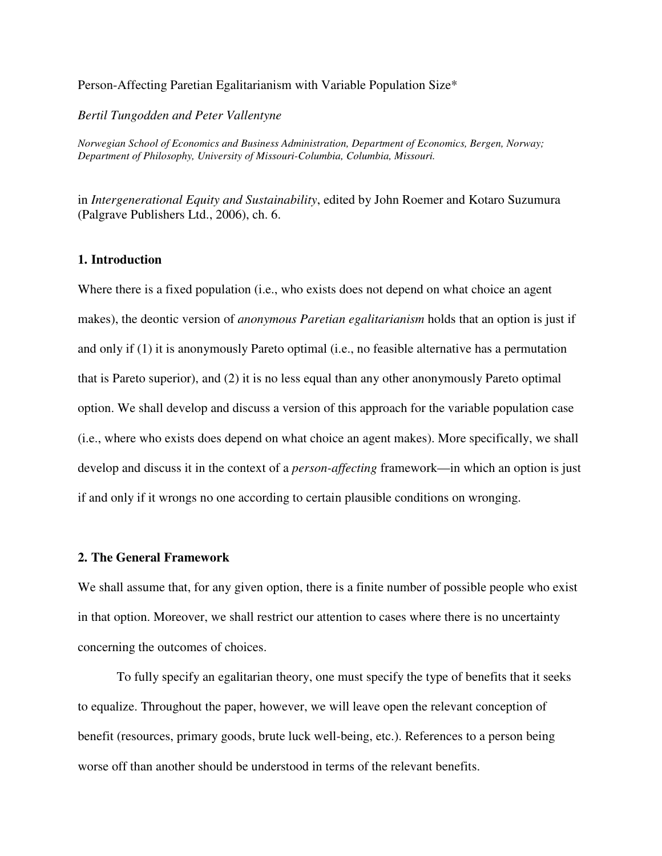#### Person-Affecting Paretian Egalitarianism with Variable Population Size\*

## *Bertil Tungodden and Peter Vallentyne*

*Norwegian School of Economics and Business Administration, Department of Economics, Bergen, Norway; Department of Philosophy, University of Missouri-Columbia, Columbia, Missouri.* 

in *Intergenerational Equity and Sustainability*, edited by John Roemer and Kotaro Suzumura (Palgrave Publishers Ltd., 2006), ch. 6.

## **1. Introduction**

Where there is a fixed population (i.e., who exists does not depend on what choice an agent makes), the deontic version of *anonymous Paretian egalitarianism* holds that an option is just if and only if (1) it is anonymously Pareto optimal (i.e., no feasible alternative has a permutation that is Pareto superior), and (2) it is no less equal than any other anonymously Pareto optimal option. We shall develop and discuss a version of this approach for the variable population case (i.e., where who exists does depend on what choice an agent makes). More specifically, we shall develop and discuss it in the context of a *person-affecting* framework—in which an option is just if and only if it wrongs no one according to certain plausible conditions on wronging.

### **2. The General Framework**

We shall assume that, for any given option, there is a finite number of possible people who exist in that option. Moreover, we shall restrict our attention to cases where there is no uncertainty concerning the outcomes of choices.

To fully specify an egalitarian theory, one must specify the type of benefits that it seeks to equalize. Throughout the paper, however, we will leave open the relevant conception of benefit (resources, primary goods, brute luck well-being, etc.). References to a person being worse off than another should be understood in terms of the relevant benefits.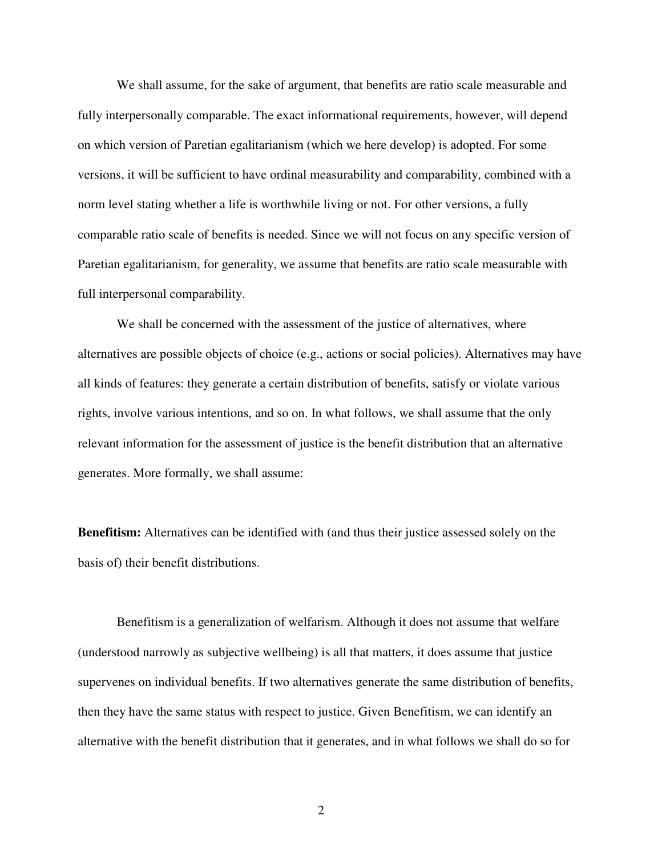We shall assume, for the sake of argument, that benefits are ratio scale measurable and fully interpersonally comparable. The exact informational requirements, however, will depend on which version of Paretian egalitarianism (which we here develop) is adopted. For some versions, it will be sufficient to have ordinal measurability and comparability, combined with a norm level stating whether a life is worthwhile living or not. For other versions, a fully comparable ratio scale of benefits is needed. Since we will not focus on any specific version of Paretian egalitarianism, for generality, we assume that benefits are ratio scale measurable with full interpersonal comparability.

We shall be concerned with the assessment of the justice of alternatives, where alternatives are possible objects of choice (e.g., actions or social policies). Alternatives may have all kinds of features: they generate a certain distribution of benefits, satisfy or violate various rights, involve various intentions, and so on. In what follows, we shall assume that the only relevant information for the assessment of justice is the benefit distribution that an alternative generates. More formally, we shall assume:

**Benefitism:** Alternatives can be identified with (and thus their justice assessed solely on the basis of) their benefit distributions.

Benefitism is a generalization of welfarism. Although it does not assume that welfare (understood narrowly as subjective wellbeing) is all that matters, it does assume that justice supervenes on individual benefits. If two alternatives generate the same distribution of benefits, then they have the same status with respect to justice. Given Benefitism, we can identify an alternative with the benefit distribution that it generates, and in what follows we shall do so for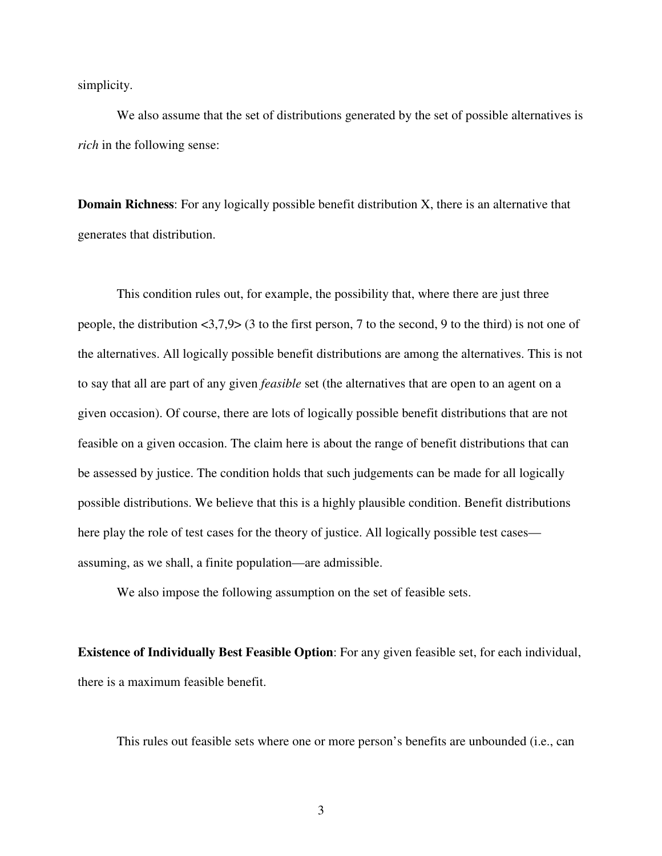simplicity.

We also assume that the set of distributions generated by the set of possible alternatives is *rich* in the following sense:

**Domain Richness**: For any logically possible benefit distribution X, there is an alternative that generates that distribution.

 This condition rules out, for example, the possibility that, where there are just three people, the distribution <3,7,9> (3 to the first person, 7 to the second, 9 to the third) is not one of the alternatives. All logically possible benefit distributions are among the alternatives. This is not to say that all are part of any given *feasible* set (the alternatives that are open to an agent on a given occasion). Of course, there are lots of logically possible benefit distributions that are not feasible on a given occasion. The claim here is about the range of benefit distributions that can be assessed by justice. The condition holds that such judgements can be made for all logically possible distributions. We believe that this is a highly plausible condition. Benefit distributions here play the role of test cases for the theory of justice. All logically possible test cases assuming, as we shall, a finite population—are admissible.

We also impose the following assumption on the set of feasible sets.

**Existence of Individually Best Feasible Option**: For any given feasible set, for each individual, there is a maximum feasible benefit.

This rules out feasible sets where one or more person's benefits are unbounded (i.e., can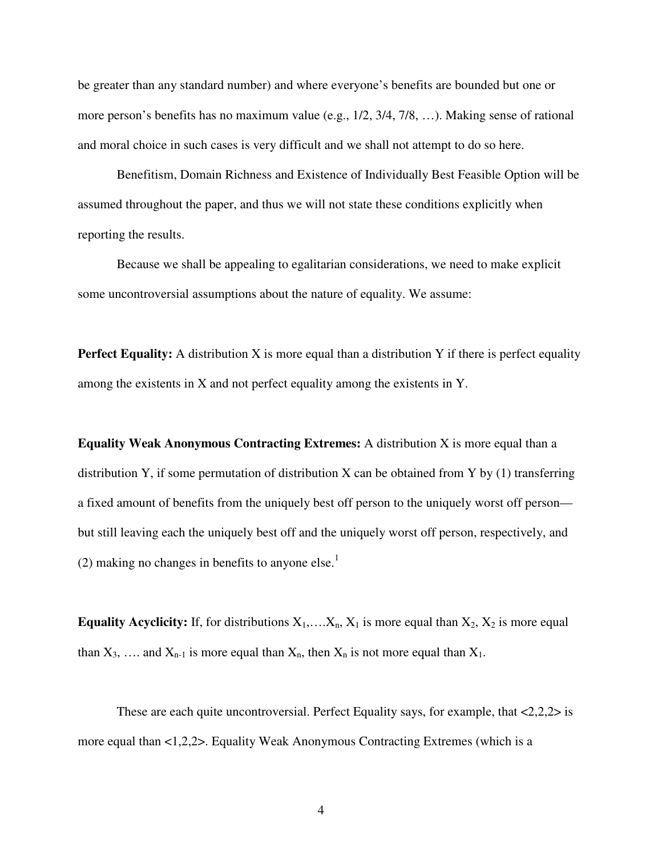be greater than any standard number) and where everyone's benefits are bounded but one or more person's benefits has no maximum value (e.g., 1/2, 3/4, 7/8, …). Making sense of rational and moral choice in such cases is very difficult and we shall not attempt to do so here.

Benefitism, Domain Richness and Existence of Individually Best Feasible Option will be assumed throughout the paper, and thus we will not state these conditions explicitly when reporting the results.

Because we shall be appealing to egalitarian considerations, we need to make explicit some uncontroversial assumptions about the nature of equality. We assume:

**Perfect Equality:** A distribution X is more equal than a distribution Y if there is perfect equality among the existents in X and not perfect equality among the existents in Y.

**Equality Weak Anonymous Contracting Extremes:** A distribution X is more equal than a distribution Y, if some permutation of distribution X can be obtained from Y by (1) transferring a fixed amount of benefits from the uniquely best off person to the uniquely worst off person but still leaving each the uniquely best off and the uniquely worst off person, respectively, and (2) making no changes in benefits to anyone else.<sup>1</sup>

**Equality Acyclicity:** If, for distributions  $X_1, \ldots, X_n, X_1$  is more equal than  $X_2, X_2$  is more equal than  $X_3$ , …. and  $X_{n-1}$  is more equal than  $X_n$ , then  $X_n$  is not more equal than  $X_1$ .

 These are each quite uncontroversial. Perfect Equality says, for example, that <2,2,2> is more equal than <1,2,2>. Equality Weak Anonymous Contracting Extremes (which is a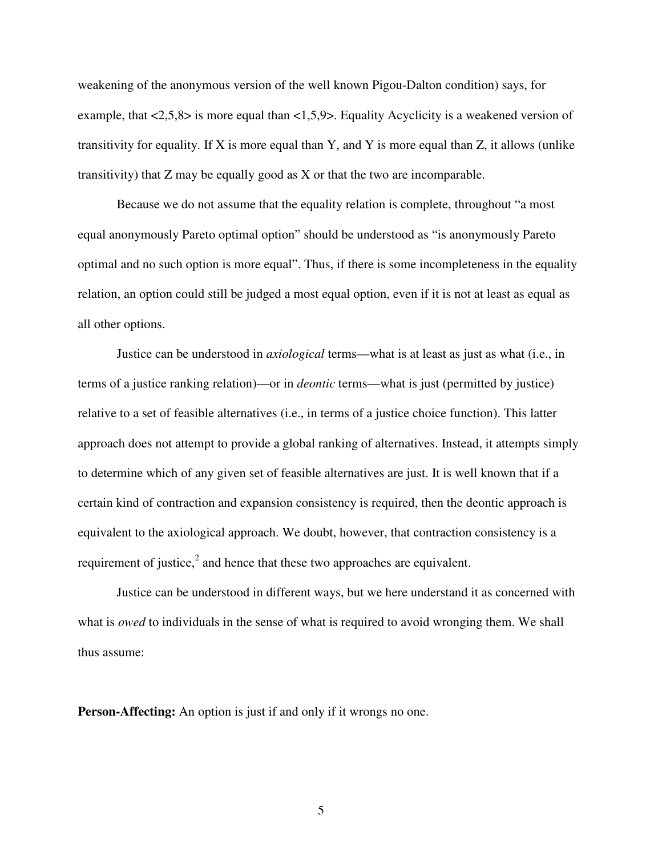weakening of the anonymous version of the well known Pigou-Dalton condition) says, for example, that <2,5,8> is more equal than <1,5,9>. Equality Acyclicity is a weakened version of transitivity for equality. If X is more equal than Y, and Y is more equal than Z, it allows (unlike transitivity) that Z may be equally good as X or that the two are incomparable.

 Because we do not assume that the equality relation is complete, throughout "a most equal anonymously Pareto optimal option" should be understood as "is anonymously Pareto optimal and no such option is more equal". Thus, if there is some incompleteness in the equality relation, an option could still be judged a most equal option, even if it is not at least as equal as all other options.

Justice can be understood in *axiological* terms—what is at least as just as what (i.e., in terms of a justice ranking relation)—or in *deontic* terms—what is just (permitted by justice) relative to a set of feasible alternatives (i.e., in terms of a justice choice function). This latter approach does not attempt to provide a global ranking of alternatives. Instead, it attempts simply to determine which of any given set of feasible alternatives are just. It is well known that if a certain kind of contraction and expansion consistency is required, then the deontic approach is equivalent to the axiological approach. We doubt, however, that contraction consistency is a requirement of justice,<sup>2</sup> and hence that these two approaches are equivalent.

Justice can be understood in different ways, but we here understand it as concerned with what is *owed* to individuals in the sense of what is required to avoid wronging them. We shall thus assume:

**Person-Affecting:** An option is just if and only if it wrongs no one.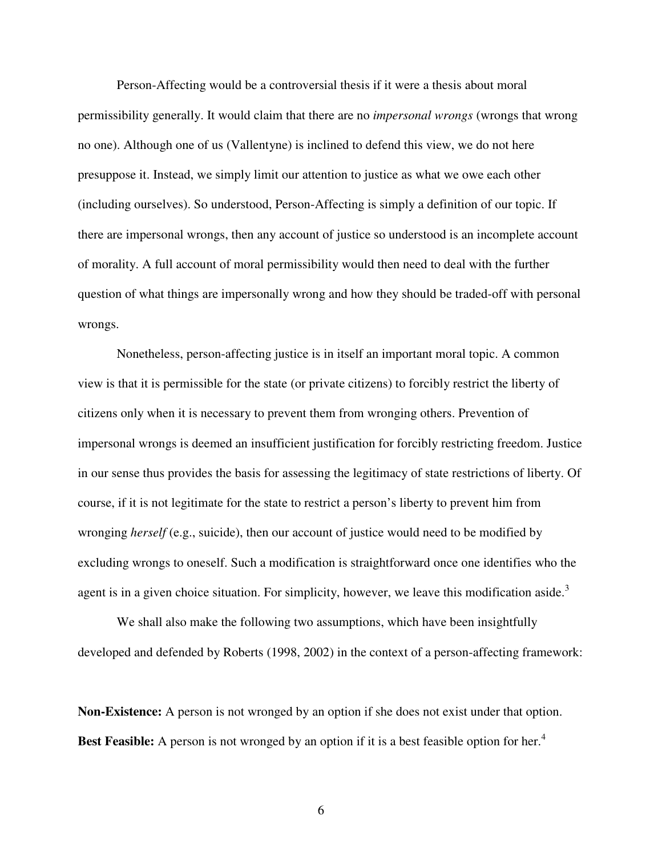Person-Affecting would be a controversial thesis if it were a thesis about moral permissibility generally. It would claim that there are no *impersonal wrongs* (wrongs that wrong no one). Although one of us (Vallentyne) is inclined to defend this view, we do not here presuppose it. Instead, we simply limit our attention to justice as what we owe each other (including ourselves). So understood, Person-Affecting is simply a definition of our topic. If there are impersonal wrongs, then any account of justice so understood is an incomplete account of morality. A full account of moral permissibility would then need to deal with the further question of what things are impersonally wrong and how they should be traded-off with personal wrongs.

Nonetheless, person-affecting justice is in itself an important moral topic. A common view is that it is permissible for the state (or private citizens) to forcibly restrict the liberty of citizens only when it is necessary to prevent them from wronging others. Prevention of impersonal wrongs is deemed an insufficient justification for forcibly restricting freedom. Justice in our sense thus provides the basis for assessing the legitimacy of state restrictions of liberty. Of course, if it is not legitimate for the state to restrict a person's liberty to prevent him from wronging *herself* (e.g., suicide), then our account of justice would need to be modified by excluding wrongs to oneself. Such a modification is straightforward once one identifies who the agent is in a given choice situation. For simplicity, however, we leave this modification aside.<sup>3</sup>

We shall also make the following two assumptions, which have been insightfully developed and defended by Roberts (1998, 2002) in the context of a person-affecting framework:

**Non-Existence:** A person is not wronged by an option if she does not exist under that option. **Best Feasible:** A person is not wronged by an option if it is a best feasible option for her.<sup>4</sup>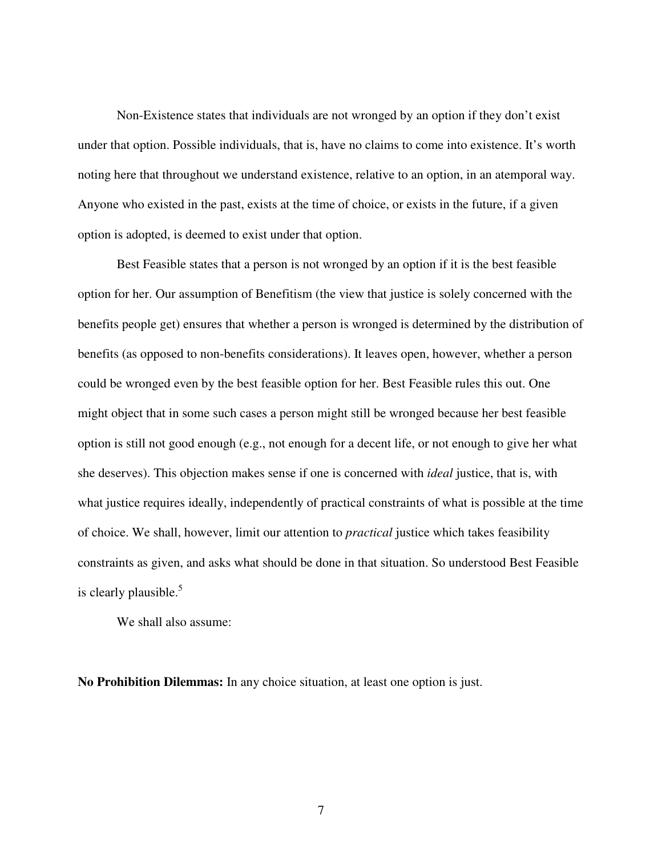Non-Existence states that individuals are not wronged by an option if they don't exist under that option. Possible individuals, that is, have no claims to come into existence. It's worth noting here that throughout we understand existence, relative to an option, in an atemporal way. Anyone who existed in the past, exists at the time of choice, or exists in the future, if a given option is adopted, is deemed to exist under that option.

Best Feasible states that a person is not wronged by an option if it is the best feasible option for her. Our assumption of Benefitism (the view that justice is solely concerned with the benefits people get) ensures that whether a person is wronged is determined by the distribution of benefits (as opposed to non-benefits considerations). It leaves open, however, whether a person could be wronged even by the best feasible option for her. Best Feasible rules this out. One might object that in some such cases a person might still be wronged because her best feasible option is still not good enough (e.g., not enough for a decent life, or not enough to give her what she deserves). This objection makes sense if one is concerned with *ideal* justice, that is, with what justice requires ideally, independently of practical constraints of what is possible at the time of choice. We shall, however, limit our attention to *practical* justice which takes feasibility constraints as given, and asks what should be done in that situation. So understood Best Feasible is clearly plausible. $5$ 

We shall also assume:

**No Prohibition Dilemmas:** In any choice situation, at least one option is just.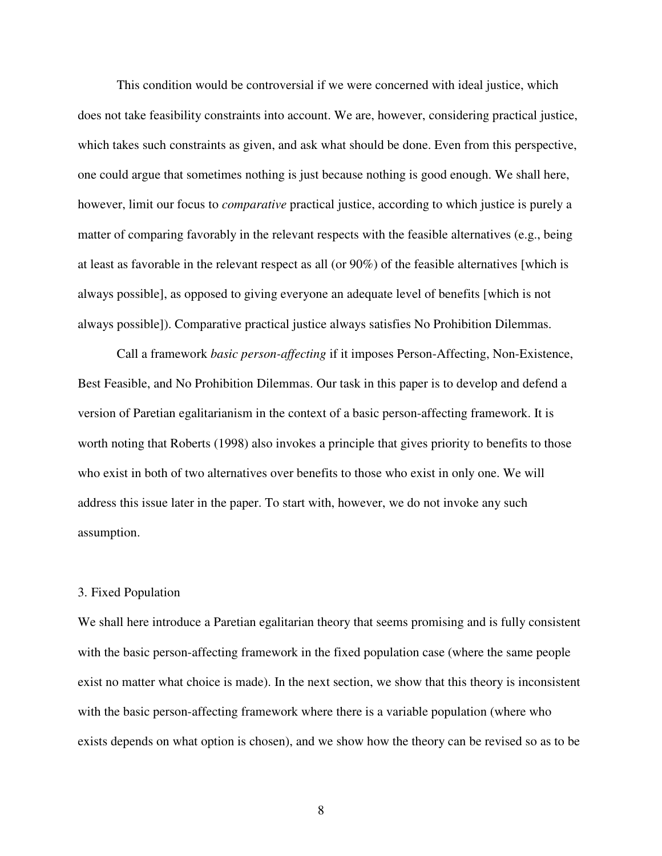This condition would be controversial if we were concerned with ideal justice, which does not take feasibility constraints into account. We are, however, considering practical justice, which takes such constraints as given, and ask what should be done. Even from this perspective, one could argue that sometimes nothing is just because nothing is good enough. We shall here, however, limit our focus to *comparative* practical justice, according to which justice is purely a matter of comparing favorably in the relevant respects with the feasible alternatives (e.g., being at least as favorable in the relevant respect as all (or 90%) of the feasible alternatives [which is always possible], as opposed to giving everyone an adequate level of benefits [which is not always possible]). Comparative practical justice always satisfies No Prohibition Dilemmas.

Call a framework *basic person-affecting* if it imposes Person-Affecting, Non-Existence, Best Feasible, and No Prohibition Dilemmas. Our task in this paper is to develop and defend a version of Paretian egalitarianism in the context of a basic person-affecting framework. It is worth noting that Roberts (1998) also invokes a principle that gives priority to benefits to those who exist in both of two alternatives over benefits to those who exist in only one. We will address this issue later in the paper. To start with, however, we do not invoke any such assumption.

#### 3. Fixed Population

We shall here introduce a Paretian egalitarian theory that seems promising and is fully consistent with the basic person-affecting framework in the fixed population case (where the same people exist no matter what choice is made). In the next section, we show that this theory is inconsistent with the basic person-affecting framework where there is a variable population (where who exists depends on what option is chosen), and we show how the theory can be revised so as to be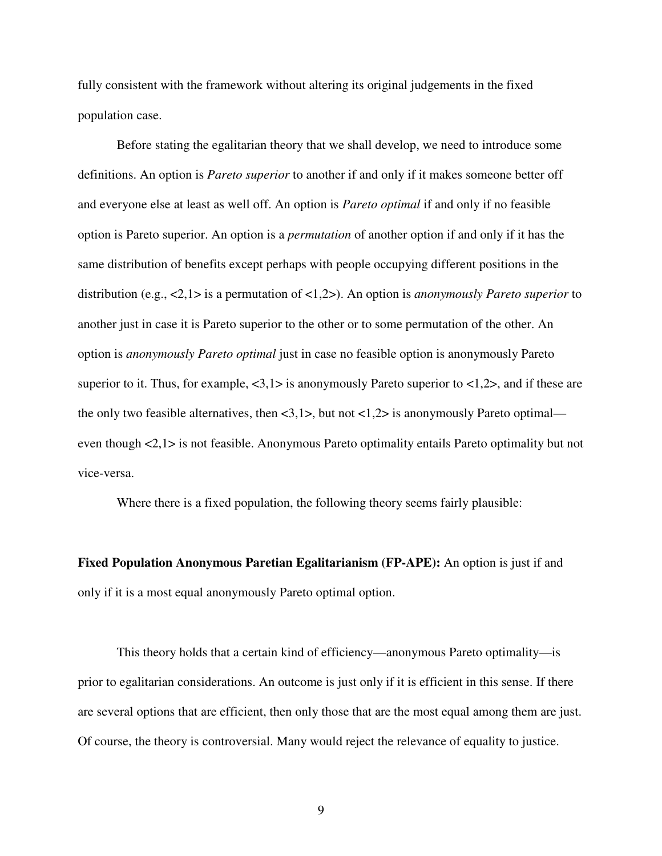fully consistent with the framework without altering its original judgements in the fixed population case.

Before stating the egalitarian theory that we shall develop, we need to introduce some definitions. An option is *Pareto superior* to another if and only if it makes someone better off and everyone else at least as well off. An option is *Pareto optimal* if and only if no feasible option is Pareto superior. An option is a *permutation* of another option if and only if it has the same distribution of benefits except perhaps with people occupying different positions in the distribution (e.g., <2,1> is a permutation of <1,2>). An option is *anonymously Pareto superior* to another just in case it is Pareto superior to the other or to some permutation of the other. An option is *anonymously Pareto optimal* just in case no feasible option is anonymously Pareto superior to it. Thus, for example,  $\langle 3,1 \rangle$  is anonymously Pareto superior to  $\langle 1,2 \rangle$ , and if these are the only two feasible alternatives, then  $\langle 3,1 \rangle$ , but not  $\langle 1,2 \rangle$  is anonymously Pareto optimal even though <2,1> is not feasible. Anonymous Pareto optimality entails Pareto optimality but not vice-versa.

Where there is a fixed population, the following theory seems fairly plausible:

**Fixed Population Anonymous Paretian Egalitarianism (FP-APE):** An option is just if and only if it is a most equal anonymously Pareto optimal option.

 This theory holds that a certain kind of efficiency—anonymous Pareto optimality—is prior to egalitarian considerations. An outcome is just only if it is efficient in this sense. If there are several options that are efficient, then only those that are the most equal among them are just. Of course, the theory is controversial. Many would reject the relevance of equality to justice.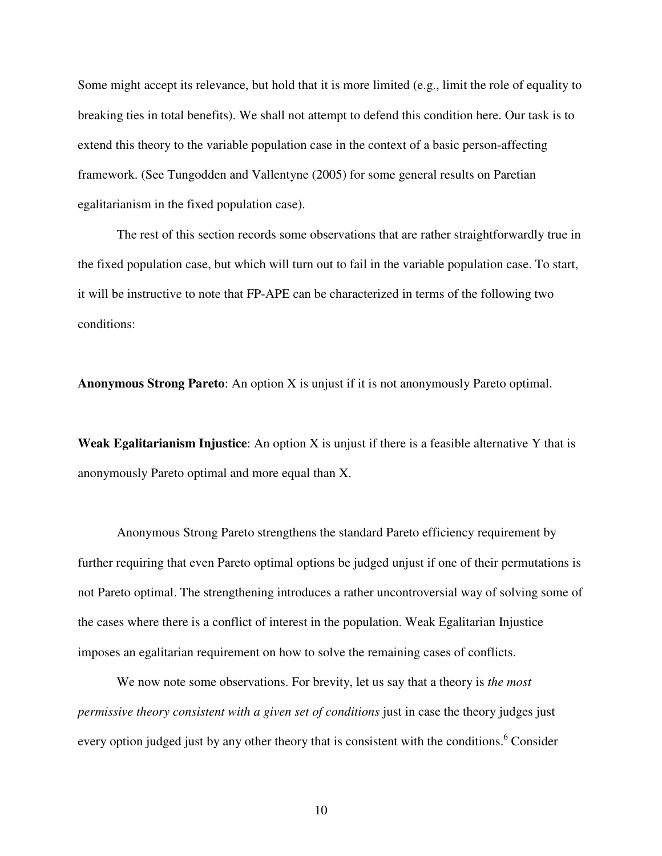Some might accept its relevance, but hold that it is more limited (e.g., limit the role of equality to breaking ties in total benefits). We shall not attempt to defend this condition here. Our task is to extend this theory to the variable population case in the context of a basic person-affecting framework. (See Tungodden and Vallentyne (2005) for some general results on Paretian egalitarianism in the fixed population case).

The rest of this section records some observations that are rather straightforwardly true in the fixed population case, but which will turn out to fail in the variable population case. To start, it will be instructive to note that FP-APE can be characterized in terms of the following two conditions:

**Anonymous Strong Pareto**: An option X is unjust if it is not anonymously Pareto optimal.

**Weak Egalitarianism Injustice**: An option X is unjust if there is a feasible alternative Y that is anonymously Pareto optimal and more equal than X.

Anonymous Strong Pareto strengthens the standard Pareto efficiency requirement by further requiring that even Pareto optimal options be judged unjust if one of their permutations is not Pareto optimal. The strengthening introduces a rather uncontroversial way of solving some of the cases where there is a conflict of interest in the population. Weak Egalitarian Injustice imposes an egalitarian requirement on how to solve the remaining cases of conflicts.

We now note some observations. For brevity, let us say that a theory is *the most permissive theory consistent with a given set of conditions* just in case the theory judges just every option judged just by any other theory that is consistent with the conditions.<sup>6</sup> Consider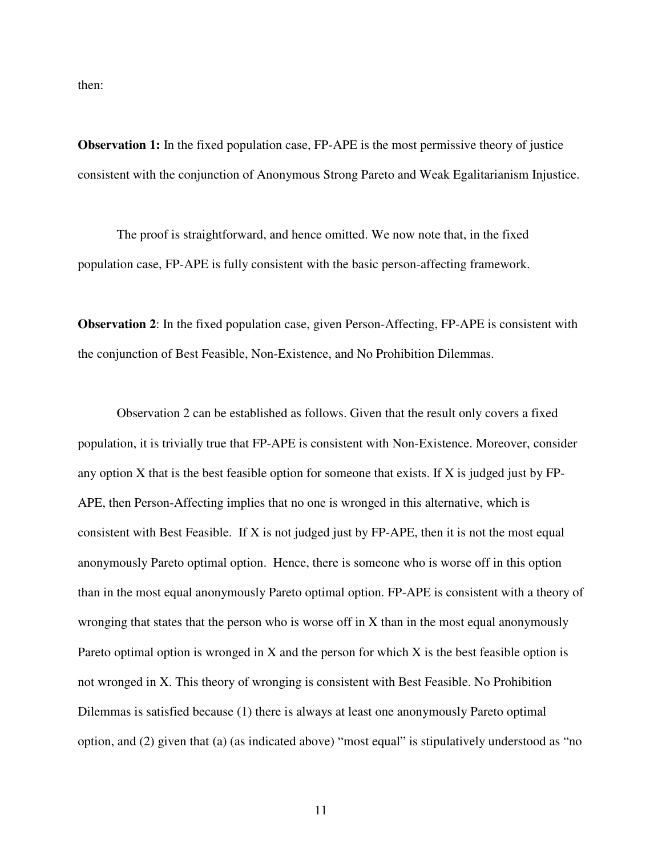then:

**Observation 1:** In the fixed population case, FP-APE is the most permissive theory of justice consistent with the conjunction of Anonymous Strong Pareto and Weak Egalitarianism Injustice.

 The proof is straightforward, and hence omitted. We now note that, in the fixed population case, FP-APE is fully consistent with the basic person-affecting framework.

**Observation 2**: In the fixed population case, given Person-Affecting, FP-APE is consistent with the conjunction of Best Feasible, Non-Existence, and No Prohibition Dilemmas.

Observation 2 can be established as follows. Given that the result only covers a fixed population, it is trivially true that FP-APE is consistent with Non-Existence. Moreover, consider any option  $X$  that is the best feasible option for someone that exists. If  $X$  is judged just by FP-APE, then Person-Affecting implies that no one is wronged in this alternative, which is consistent with Best Feasible. If X is not judged just by FP-APE, then it is not the most equal anonymously Pareto optimal option. Hence, there is someone who is worse off in this option than in the most equal anonymously Pareto optimal option. FP-APE is consistent with a theory of wronging that states that the person who is worse off in X than in the most equal anonymously Pareto optimal option is wronged in X and the person for which X is the best feasible option is not wronged in X. This theory of wronging is consistent with Best Feasible. No Prohibition Dilemmas is satisfied because (1) there is always at least one anonymously Pareto optimal option, and (2) given that (a) (as indicated above) "most equal" is stipulatively understood as "no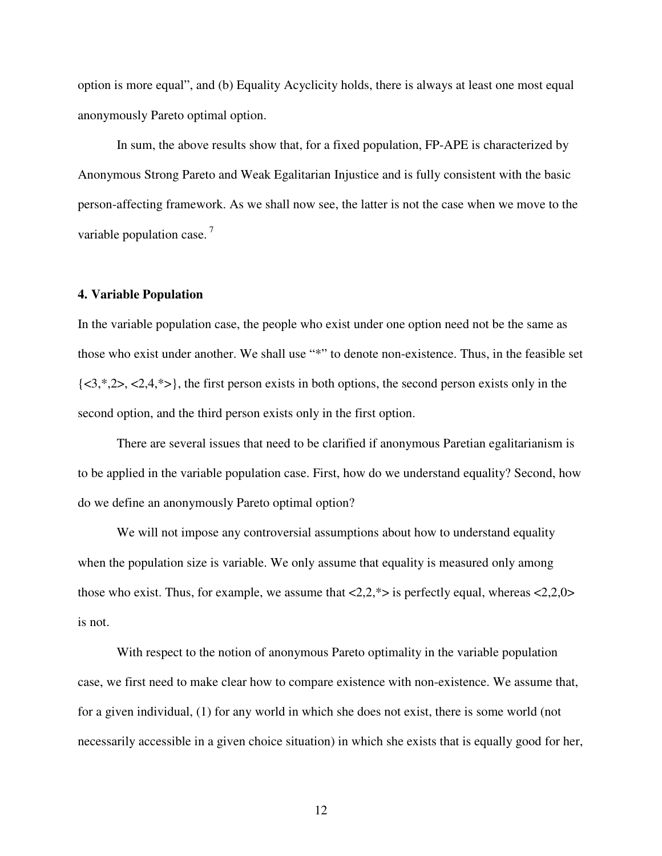option is more equal", and (b) Equality Acyclicity holds, there is always at least one most equal anonymously Pareto optimal option.

In sum, the above results show that, for a fixed population, FP-APE is characterized by Anonymous Strong Pareto and Weak Egalitarian Injustice and is fully consistent with the basic person-affecting framework. As we shall now see, the latter is not the case when we move to the variable population case.<sup>7</sup>

#### **4. Variable Population**

In the variable population case, the people who exist under one option need not be the same as those who exist under another. We shall use "\*" to denote non-existence. Thus, in the feasible set  $\{\langle 3,*,2 \rangle, \langle 2,4,* \rangle\}$ , the first person exists in both options, the second person exists only in the second option, and the third person exists only in the first option.

There are several issues that need to be clarified if anonymous Paretian egalitarianism is to be applied in the variable population case. First, how do we understand equality? Second, how do we define an anonymously Pareto optimal option?

We will not impose any controversial assumptions about how to understand equality when the population size is variable. We only assume that equality is measured only among those who exist. Thus, for example, we assume that  $\langle 2,2,*\rangle$  is perfectly equal, whereas  $\langle 2,2,0\rangle$ is not.

With respect to the notion of anonymous Pareto optimality in the variable population case, we first need to make clear how to compare existence with non-existence. We assume that, for a given individual, (1) for any world in which she does not exist, there is some world (not necessarily accessible in a given choice situation) in which she exists that is equally good for her,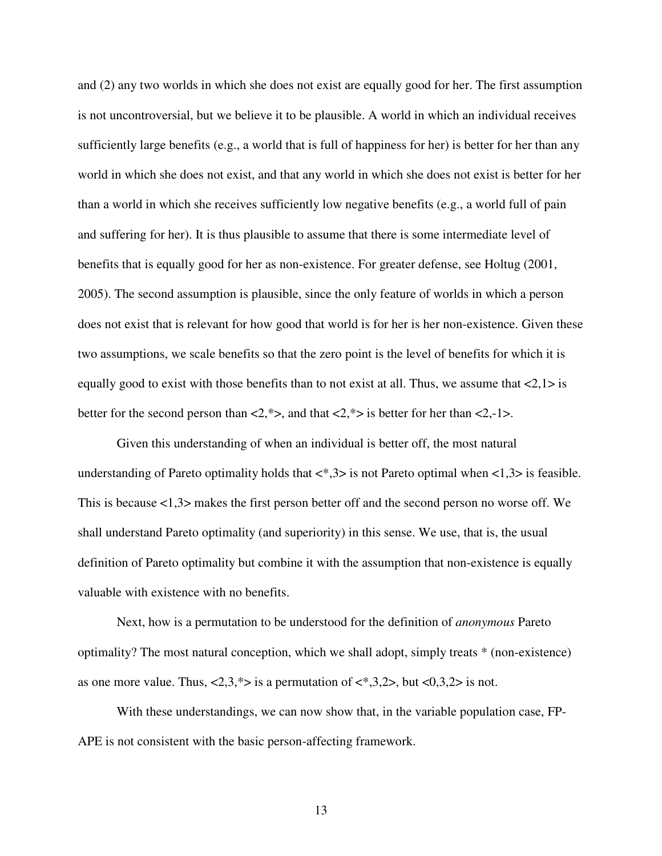and (2) any two worlds in which she does not exist are equally good for her. The first assumption is not uncontroversial, but we believe it to be plausible. A world in which an individual receives sufficiently large benefits (e.g., a world that is full of happiness for her) is better for her than any world in which she does not exist, and that any world in which she does not exist is better for her than a world in which she receives sufficiently low negative benefits (e.g., a world full of pain and suffering for her). It is thus plausible to assume that there is some intermediate level of benefits that is equally good for her as non-existence. For greater defense, see Holtug (2001, 2005). The second assumption is plausible, since the only feature of worlds in which a person does not exist that is relevant for how good that world is for her is her non-existence. Given these two assumptions, we scale benefits so that the zero point is the level of benefits for which it is equally good to exist with those benefits than to not exist at all. Thus, we assume that  $\langle 2,1 \rangle$  is better for the second person than  $\langle 2, * \rangle$ , and that  $\langle 2, * \rangle$  is better for her than  $\langle 2, -1 \rangle$ .

Given this understanding of when an individual is better off, the most natural understanding of Pareto optimality holds that  $\langle *, 3 \rangle$  is not Pareto optimal when  $\langle 1, 3 \rangle$  is feasible. This is because <1,3> makes the first person better off and the second person no worse off. We shall understand Pareto optimality (and superiority) in this sense. We use, that is, the usual definition of Pareto optimality but combine it with the assumption that non-existence is equally valuable with existence with no benefits.

 Next, how is a permutation to be understood for the definition of *anonymous* Pareto optimality? The most natural conception, which we shall adopt, simply treats \* (non-existence) as one more value. Thus,  $\langle 2,3,*\rangle$  is a permutation of  $\langle 3,3,2\rangle$ , but  $\langle 0,3,2\rangle$  is not.

With these understandings, we can now show that, in the variable population case, FP-APE is not consistent with the basic person-affecting framework.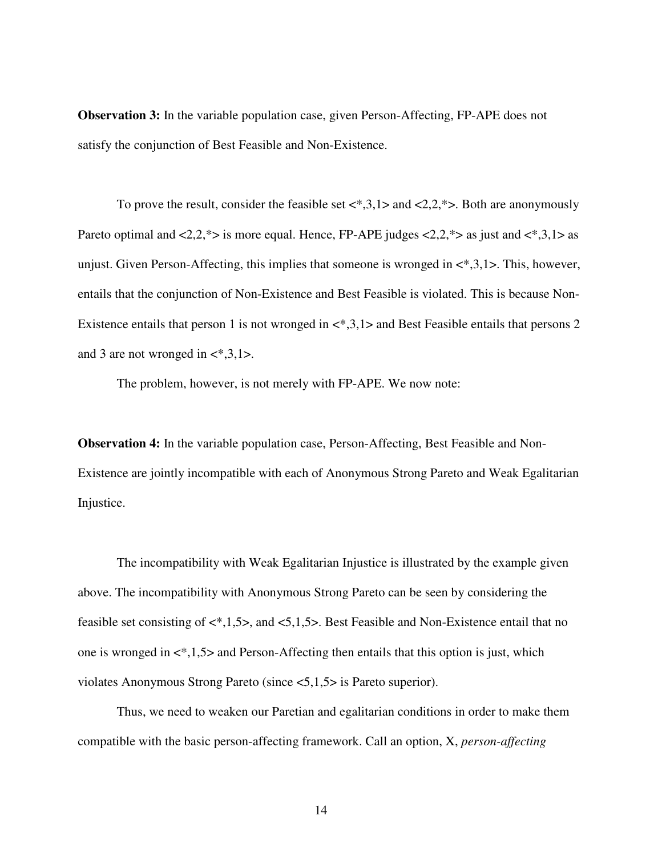**Observation 3:** In the variable population case, given Person-Affecting, FP-APE does not satisfy the conjunction of Best Feasible and Non-Existence.

To prove the result, consider the feasible set  $\langle 3,1 \rangle$  and  $\langle 2,2,* \rangle$ . Both are anonymously Pareto optimal and  $\langle 2,2,*\rangle$  is more equal. Hence, FP-APE judges  $\langle 2,2,*\rangle$  as just and  $\langle *,3,1\rangle$  as unjust. Given Person-Affecting, this implies that someone is wronged in  $\lt^*, 3, 1$ . This, however, entails that the conjunction of Non-Existence and Best Feasible is violated. This is because Non-Existence entails that person 1 is not wronged in  $\lt^*, 3, 1$  and Best Feasible entails that persons 2 and 3 are not wronged in  $\lt^*, 3, 1$ .

The problem, however, is not merely with FP-APE. We now note:

**Observation 4:** In the variable population case, Person-Affecting, Best Feasible and Non-Existence are jointly incompatible with each of Anonymous Strong Pareto and Weak Egalitarian Injustice.

The incompatibility with Weak Egalitarian Injustice is illustrated by the example given above. The incompatibility with Anonymous Strong Pareto can be seen by considering the feasible set consisting of <\*,1,5>, and <5,1,5>. Best Feasible and Non-Existence entail that no one is wronged in  $\lt^*$ , 1,5 $>$  and Person-Affecting then entails that this option is just, which violates Anonymous Strong Pareto (since <5,1,5> is Pareto superior).

Thus, we need to weaken our Paretian and egalitarian conditions in order to make them compatible with the basic person-affecting framework. Call an option, X, *person-affecting*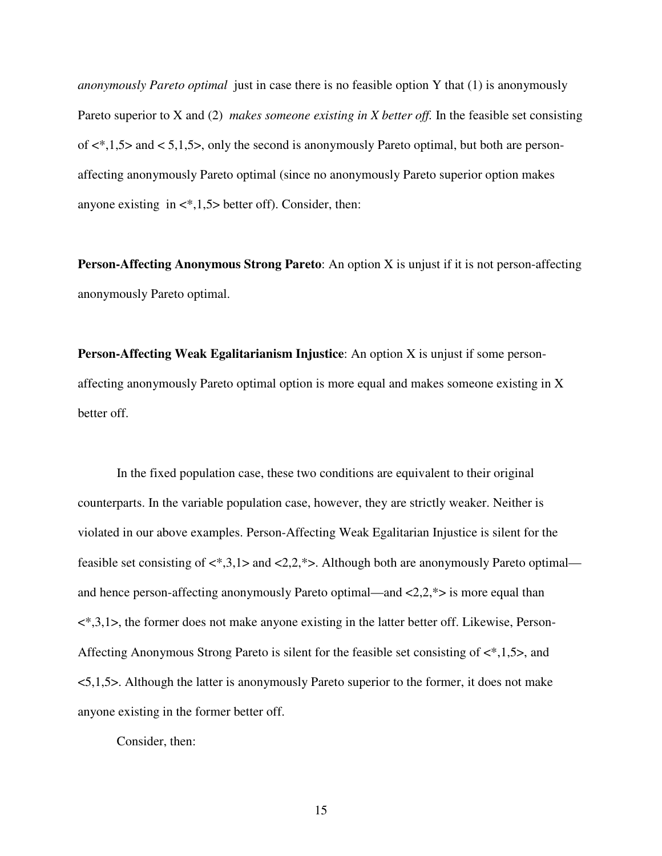*anonymously Pareto optimal* just in case there is no feasible option Y that (1) is anonymously Pareto superior to X and (2) *makes someone existing in X better off.* In the feasible set consisting of  $\langle *, 1, 5 \rangle$  and  $\langle 5, 1, 5 \rangle$ , only the second is anonymously Pareto optimal, but both are personaffecting anonymously Pareto optimal (since no anonymously Pareto superior option makes anyone existing in  $\lt^*$ , 1,5 $>$  better off). Consider, then:

**Person-Affecting Anonymous Strong Pareto**: An option X is unjust if it is not person-affecting anonymously Pareto optimal.

**Person-Affecting Weak Egalitarianism Injustice**: An option X is unjust if some personaffecting anonymously Pareto optimal option is more equal and makes someone existing in X better off.

 In the fixed population case, these two conditions are equivalent to their original counterparts. In the variable population case, however, they are strictly weaker. Neither is violated in our above examples. Person-Affecting Weak Egalitarian Injustice is silent for the feasible set consisting of  $\langle 3,1 \rangle$  and  $\langle 2,2,2 \rangle$ . Although both are anonymously Pareto optimal and hence person-affecting anonymously Pareto optimal—and  $\langle 2,2,*\rangle$  is more equal than <\*,3,1>, the former does not make anyone existing in the latter better off. Likewise, Person-Affecting Anonymous Strong Pareto is silent for the feasible set consisting of <\*,1,5>, and <5,1,5>. Although the latter is anonymously Pareto superior to the former, it does not make anyone existing in the former better off.

Consider, then: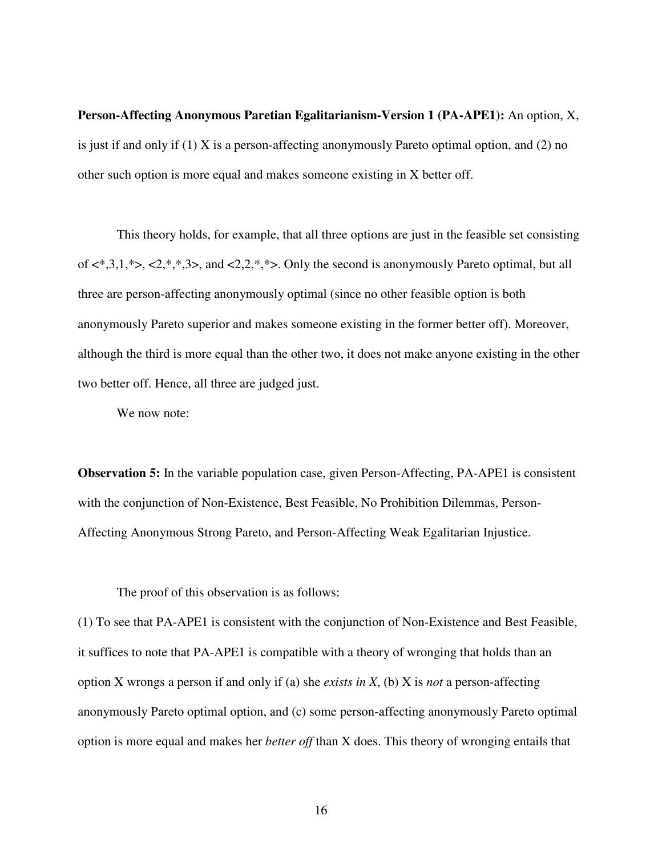**Person-Affecting Anonymous Paretian Egalitarianism-Version 1 (PA-APE1):** An option, X, is just if and only if  $(1)$  X is a person-affecting anonymously Pareto optimal option, and  $(2)$  no other such option is more equal and makes someone existing in X better off.

This theory holds, for example, that all three options are just in the feasible set consisting of  $\langle 3,1,*\rangle$ ,  $\langle 2,*,*,3\rangle$ , and  $\langle 2,2,*\rangle$ . Only the second is anonymously Pareto optimal, but all three are person-affecting anonymously optimal (since no other feasible option is both anonymously Pareto superior and makes someone existing in the former better off). Moreover, although the third is more equal than the other two, it does not make anyone existing in the other two better off. Hence, all three are judged just.

We now note:

**Observation 5:** In the variable population case, given Person-Affecting, PA-APE1 is consistent with the conjunction of Non-Existence, Best Feasible, No Prohibition Dilemmas, Person-Affecting Anonymous Strong Pareto, and Person-Affecting Weak Egalitarian Injustice.

The proof of this observation is as follows:

(1) To see that PA-APE1 is consistent with the conjunction of Non-Existence and Best Feasible, it suffices to note that PA-APE1 is compatible with a theory of wronging that holds than an option X wrongs a person if and only if (a) she *exists in X*, (b) X is *not* a person-affecting anonymously Pareto optimal option, and (c) some person-affecting anonymously Pareto optimal option is more equal and makes her *better off* than X does. This theory of wronging entails that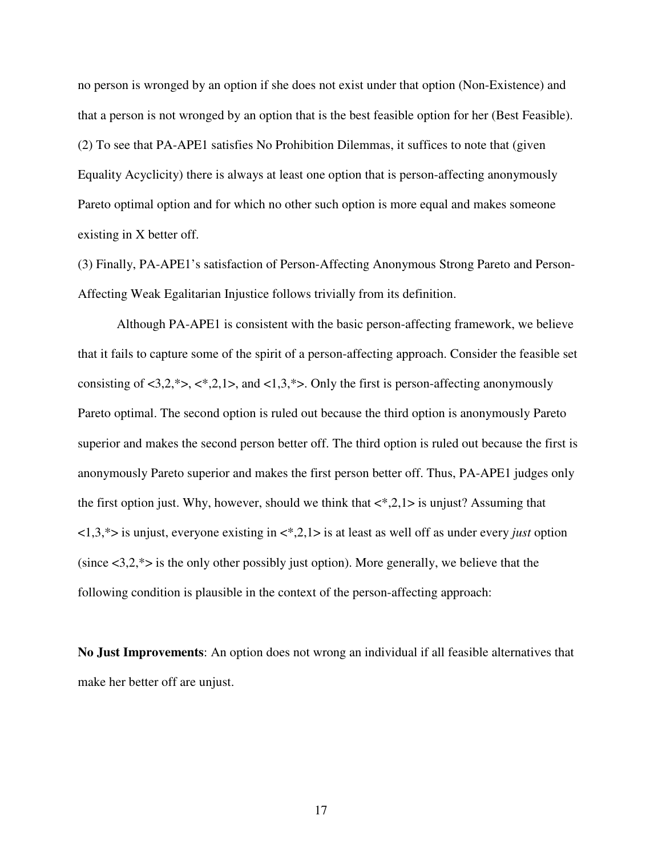no person is wronged by an option if she does not exist under that option (Non-Existence) and that a person is not wronged by an option that is the best feasible option for her (Best Feasible). (2) To see that PA-APE1 satisfies No Prohibition Dilemmas, it suffices to note that (given Equality Acyclicity) there is always at least one option that is person-affecting anonymously Pareto optimal option and for which no other such option is more equal and makes someone existing in X better off.

(3) Finally, PA-APE1's satisfaction of Person-Affecting Anonymous Strong Pareto and Person-Affecting Weak Egalitarian Injustice follows trivially from its definition.

Although PA-APE1 is consistent with the basic person-affecting framework, we believe that it fails to capture some of the spirit of a person-affecting approach. Consider the feasible set consisting of  $\langle 3,2,*\rangle$ ,  $\langle 3,2,1\rangle$ , and  $\langle 1,3,*\rangle$ . Only the first is person-affecting anonymously Pareto optimal. The second option is ruled out because the third option is anonymously Pareto superior and makes the second person better off. The third option is ruled out because the first is anonymously Pareto superior and makes the first person better off. Thus, PA-APE1 judges only the first option just. Why, however, should we think that  $\langle 2, 1 \rangle$  is unjust? Assuming that <1,3,\*> is unjust, everyone existing in <\*,2,1> is at least as well off as under every *just* option (since  $\langle 3,2,*\rangle$  is the only other possibly just option). More generally, we believe that the following condition is plausible in the context of the person-affecting approach:

**No Just Improvements**: An option does not wrong an individual if all feasible alternatives that make her better off are unjust.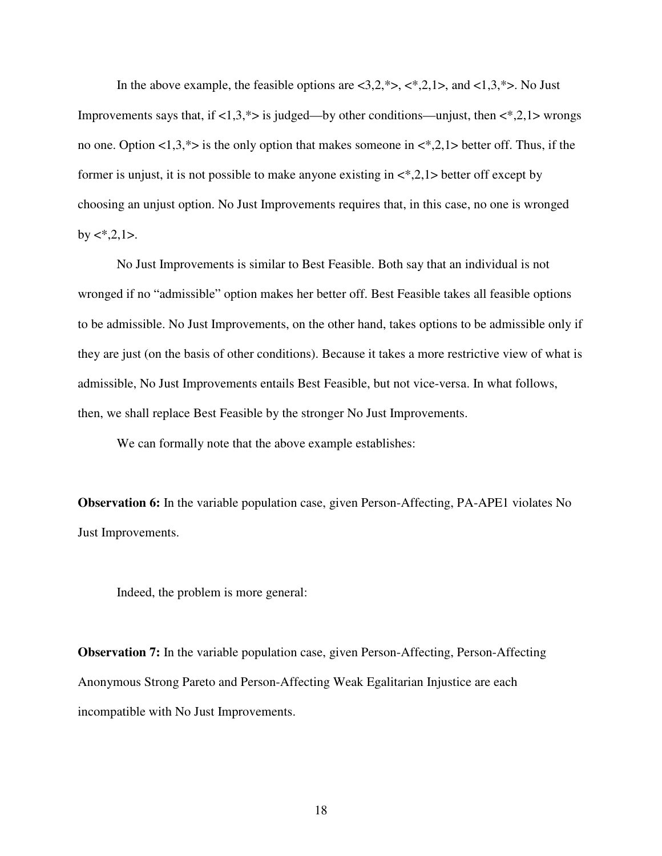In the above example, the feasible options are  $\langle 3,2,*\rangle, \langle 3,2,*\rangle$ , and  $\langle 1,3,*\rangle$ . No Just Improvements says that, if  $\langle 1,3,*\rangle$  is judged—by other conditions—unjust, then  $\langle 2,1\rangle$  wrongs no one. Option  $\langle 1,3,*\rangle$  is the only option that makes someone in  $\langle 2,1\rangle$  better off. Thus, if the former is unjust, it is not possible to make anyone existing in  $\langle 2, 1 \rangle$  better off except by choosing an unjust option. No Just Improvements requires that, in this case, no one is wronged by  $\lt^*$ , 2, 1>.

No Just Improvements is similar to Best Feasible. Both say that an individual is not wronged if no "admissible" option makes her better off. Best Feasible takes all feasible options to be admissible. No Just Improvements, on the other hand, takes options to be admissible only if they are just (on the basis of other conditions). Because it takes a more restrictive view of what is admissible, No Just Improvements entails Best Feasible, but not vice-versa. In what follows, then, we shall replace Best Feasible by the stronger No Just Improvements.

We can formally note that the above example establishes:

**Observation 6:** In the variable population case, given Person-Affecting, PA-APE1 violates No Just Improvements.

Indeed, the problem is more general:

**Observation 7:** In the variable population case, given Person-Affecting, Person-Affecting Anonymous Strong Pareto and Person-Affecting Weak Egalitarian Injustice are each incompatible with No Just Improvements.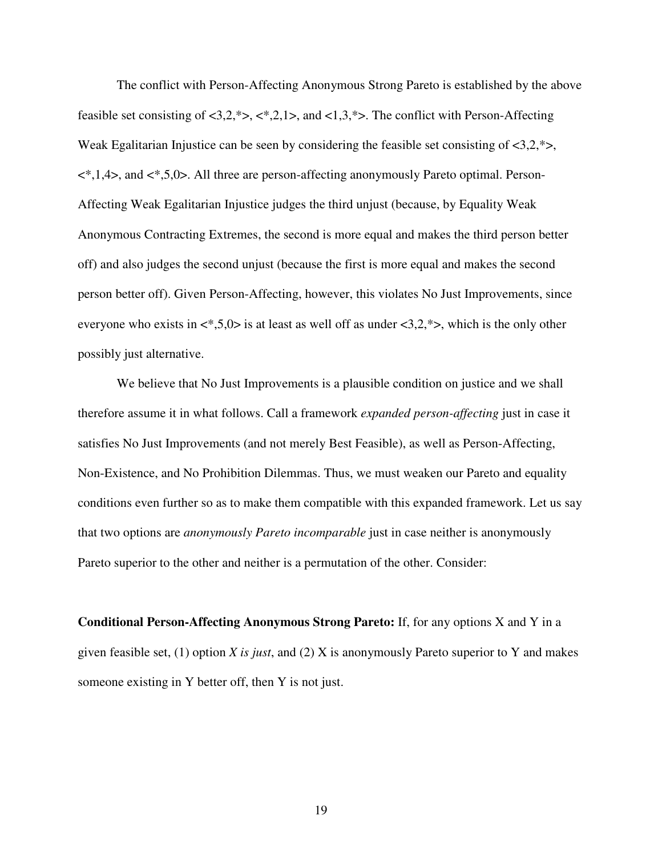The conflict with Person-Affecting Anonymous Strong Pareto is established by the above feasible set consisting of  $\langle 3,2,2,2,3 \rangle$ , and  $\langle 1,3,2,3 \rangle$ . The conflict with Person-Affecting Weak Egalitarian Injustice can be seen by considering the feasible set consisting of  $\langle 3,2,* \rangle$ , <\*,1,4>, and <\*,5,0>. All three are person-affecting anonymously Pareto optimal. Person-Affecting Weak Egalitarian Injustice judges the third unjust (because, by Equality Weak Anonymous Contracting Extremes, the second is more equal and makes the third person better off) and also judges the second unjust (because the first is more equal and makes the second person better off). Given Person-Affecting, however, this violates No Just Improvements, since everyone who exists in  $\lt^*$ ,5,0> is at least as well off as under  $\lt^3$ ,2, $\gt^*$ , which is the only other possibly just alternative.

We believe that No Just Improvements is a plausible condition on justice and we shall therefore assume it in what follows. Call a framework *expanded person-affecting* just in case it satisfies No Just Improvements (and not merely Best Feasible), as well as Person-Affecting, Non-Existence, and No Prohibition Dilemmas. Thus, we must weaken our Pareto and equality conditions even further so as to make them compatible with this expanded framework. Let us say that two options are *anonymously Pareto incomparable* just in case neither is anonymously Pareto superior to the other and neither is a permutation of the other. Consider:

**Conditional Person-Affecting Anonymous Strong Pareto:** If, for any options X and Y in a given feasible set, (1) option *X is just*, and (2) X is anonymously Pareto superior to Y and makes someone existing in Y better off, then Y is not just.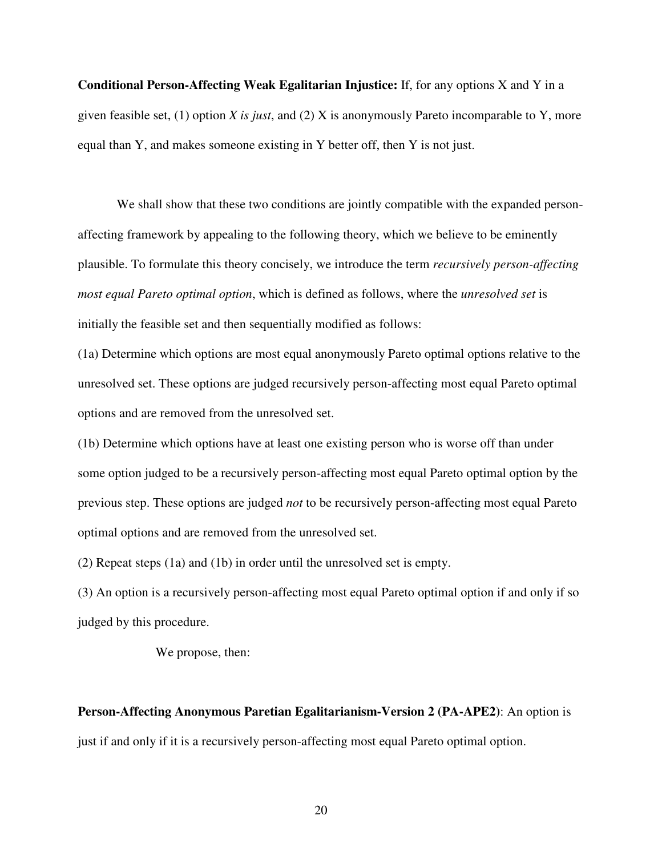**Conditional Person-Affecting Weak Egalitarian Injustice:** If, for any options X and Y in a given feasible set, (1) option *X is just*, and (2) X is anonymously Pareto incomparable to Y, more equal than Y, and makes someone existing in Y better off, then Y is not just.

We shall show that these two conditions are jointly compatible with the expanded personaffecting framework by appealing to the following theory, which we believe to be eminently plausible. To formulate this theory concisely, we introduce the term *recursively person-affecting most equal Pareto optimal option*, which is defined as follows, where the *unresolved set* is initially the feasible set and then sequentially modified as follows:

(1a) Determine which options are most equal anonymously Pareto optimal options relative to the unresolved set. These options are judged recursively person-affecting most equal Pareto optimal options and are removed from the unresolved set.

(1b) Determine which options have at least one existing person who is worse off than under some option judged to be a recursively person-affecting most equal Pareto optimal option by the previous step. These options are judged *not* to be recursively person-affecting most equal Pareto optimal options and are removed from the unresolved set.

(2) Repeat steps (1a) and (1b) in order until the unresolved set is empty.

(3) An option is a recursively person-affecting most equal Pareto optimal option if and only if so judged by this procedure.

We propose, then:

**Person-Affecting Anonymous Paretian Egalitarianism-Version 2 (PA-APE2)**: An option is just if and only if it is a recursively person-affecting most equal Pareto optimal option.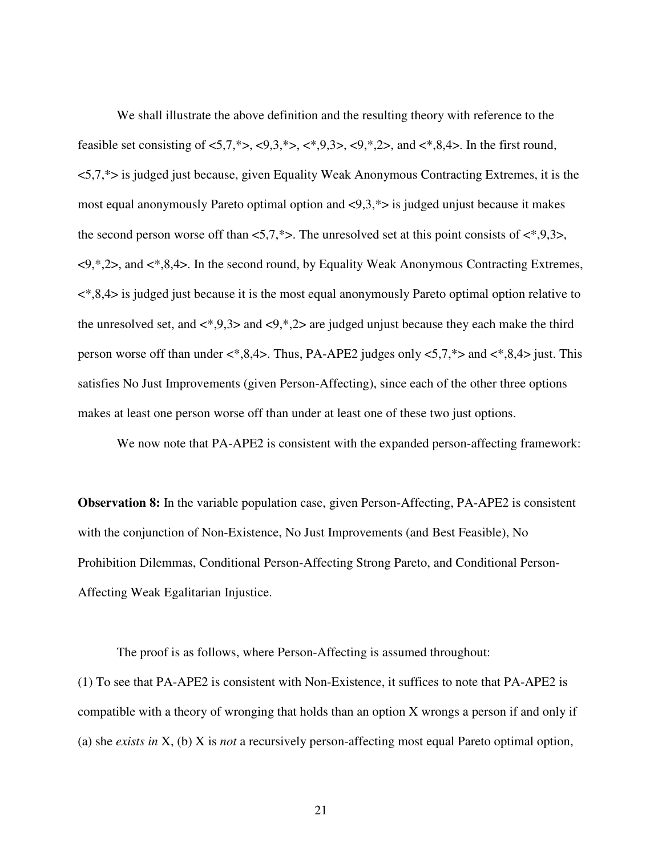We shall illustrate the above definition and the resulting theory with reference to the feasible set consisting of  $\langle 5,7,^* \rangle$ ,  $\langle 9,3,^* \rangle$ ,  $\langle 9,3 \rangle$ ,  $\langle 9,^* \rangle$ ,  $\langle 2 \rangle$ , and  $\langle 8,8,4 \rangle$ . In the first round,  $\langle 5,7,*\rangle$  is judged just because, given Equality Weak Anonymous Contracting Extremes, it is the most equal anonymously Pareto optimal option and <9,3,\*> is judged unjust because it makes the second person worse off than  $\langle 5,7,* \rangle$ . The unresolved set at this point consists of  $\langle *,9,3 \rangle$ , <9,\*,2>, and <\*,8,4>. In the second round, by Equality Weak Anonymous Contracting Extremes, <\*,8,4> is judged just because it is the most equal anonymously Pareto optimal option relative to the unresolved set, and  $\langle 9, 3 \rangle$  and  $\langle 9, 3 \rangle$  are judged unjust because they each make the third person worse off than under  $\langle *,8,4 \rangle$ . Thus, PA-APE2 judges only  $\langle 5,7,* \rangle$  and  $\langle *,8,4 \rangle$  just. This satisfies No Just Improvements (given Person-Affecting), since each of the other three options makes at least one person worse off than under at least one of these two just options.

We now note that PA-APE2 is consistent with the expanded person-affecting framework:

**Observation 8:** In the variable population case, given Person-Affecting, PA-APE2 is consistent with the conjunction of Non-Existence, No Just Improvements (and Best Feasible), No Prohibition Dilemmas, Conditional Person-Affecting Strong Pareto, and Conditional Person-Affecting Weak Egalitarian Injustice.

The proof is as follows, where Person-Affecting is assumed throughout: (1) To see that PA-APE2 is consistent with Non-Existence, it suffices to note that PA-APE2 is compatible with a theory of wronging that holds than an option X wrongs a person if and only if (a) she *exists in* X, (b) X is *not* a recursively person-affecting most equal Pareto optimal option,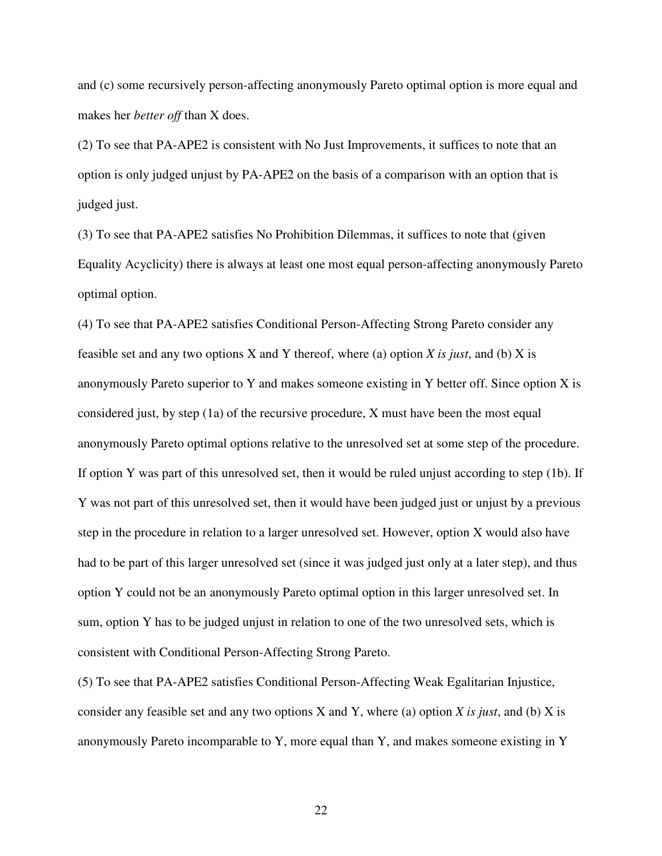and (c) some recursively person-affecting anonymously Pareto optimal option is more equal and makes her *better off* than X does.

(2) To see that PA-APE2 is consistent with No Just Improvements, it suffices to note that an option is only judged unjust by PA-APE2 on the basis of a comparison with an option that is judged just.

(3) To see that PA-APE2 satisfies No Prohibition Dilemmas, it suffices to note that (given Equality Acyclicity) there is always at least one most equal person-affecting anonymously Pareto optimal option.

(4) To see that PA-APE2 satisfies Conditional Person-Affecting Strong Pareto consider any feasible set and any two options X and Y thereof, where (a) option *X is just*, and (b) X is anonymously Pareto superior to Y and makes someone existing in Y better off. Since option X is considered just, by step (1a) of the recursive procedure, X must have been the most equal anonymously Pareto optimal options relative to the unresolved set at some step of the procedure. If option Y was part of this unresolved set, then it would be ruled unjust according to step (1b). If Y was not part of this unresolved set, then it would have been judged just or unjust by a previous step in the procedure in relation to a larger unresolved set. However, option X would also have had to be part of this larger unresolved set (since it was judged just only at a later step), and thus option Y could not be an anonymously Pareto optimal option in this larger unresolved set. In sum, option Y has to be judged unjust in relation to one of the two unresolved sets, which is consistent with Conditional Person-Affecting Strong Pareto.

(5) To see that PA-APE2 satisfies Conditional Person-Affecting Weak Egalitarian Injustice, consider any feasible set and any two options X and Y, where (a) option *X is just*, and (b) X is anonymously Pareto incomparable to Y, more equal than Y, and makes someone existing in Y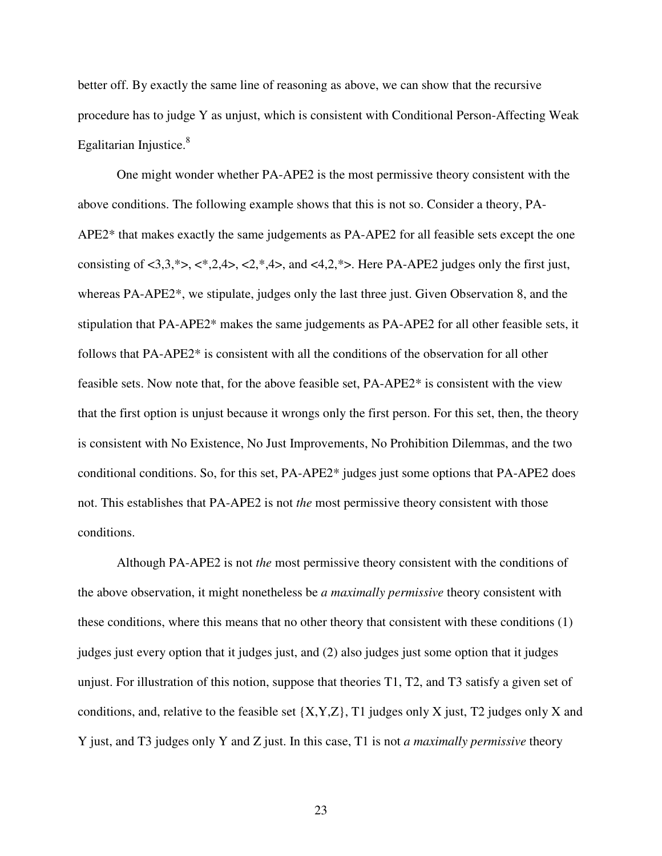better off. By exactly the same line of reasoning as above, we can show that the recursive procedure has to judge Y as unjust, which is consistent with Conditional Person-Affecting Weak Egalitarian Injustice. $8$ 

 One might wonder whether PA-APE2 is the most permissive theory consistent with the above conditions. The following example shows that this is not so. Consider a theory, PA-APE2\* that makes exactly the same judgements as PA-APE2 for all feasible sets except the one consisting of  $\langle 3,3,*\rangle$ ,  $\langle 4,2,*\rangle$ ,  $\langle 2,4,\rangle$ , and  $\langle 4,2,*\rangle$ . Here PA-APE2 judges only the first just, whereas PA-APE2\*, we stipulate, judges only the last three just. Given Observation 8, and the stipulation that PA-APE2\* makes the same judgements as PA-APE2 for all other feasible sets, it follows that PA-APE2\* is consistent with all the conditions of the observation for all other feasible sets. Now note that, for the above feasible set, PA-APE2\* is consistent with the view that the first option is unjust because it wrongs only the first person. For this set, then, the theory is consistent with No Existence, No Just Improvements, No Prohibition Dilemmas, and the two conditional conditions. So, for this set, PA-APE2\* judges just some options that PA-APE2 does not. This establishes that PA-APE2 is not *the* most permissive theory consistent with those conditions.

 Although PA-APE2 is not *the* most permissive theory consistent with the conditions of the above observation, it might nonetheless be *a maximally permissive* theory consistent with these conditions, where this means that no other theory that consistent with these conditions (1) judges just every option that it judges just, and (2) also judges just some option that it judges unjust. For illustration of this notion, suppose that theories T1, T2, and T3 satisfy a given set of conditions, and, relative to the feasible set {X,Y,Z}, T1 judges only X just, T2 judges only X and Y just, and T3 judges only Y and Z just. In this case, T1 is not *a maximally permissive* theory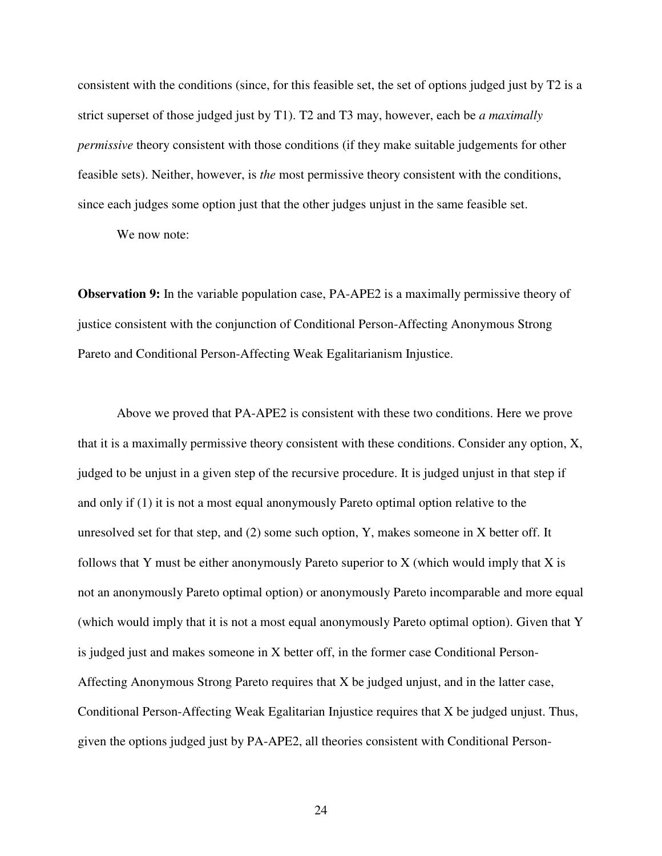consistent with the conditions (since, for this feasible set, the set of options judged just by T2 is a strict superset of those judged just by T1). T2 and T3 may, however, each be *a maximally permissive* theory consistent with those conditions (if they make suitable judgements for other feasible sets). Neither, however, is *the* most permissive theory consistent with the conditions, since each judges some option just that the other judges unjust in the same feasible set.

We now note:

**Observation 9:** In the variable population case, PA-APE2 is a maximally permissive theory of justice consistent with the conjunction of Conditional Person-Affecting Anonymous Strong Pareto and Conditional Person-Affecting Weak Egalitarianism Injustice.

Above we proved that PA-APE2 is consistent with these two conditions. Here we prove that it is a maximally permissive theory consistent with these conditions. Consider any option, X, judged to be unjust in a given step of the recursive procedure. It is judged unjust in that step if and only if (1) it is not a most equal anonymously Pareto optimal option relative to the unresolved set for that step, and (2) some such option, Y, makes someone in X better off. It follows that Y must be either anonymously Pareto superior to  $X$  (which would imply that X is not an anonymously Pareto optimal option) or anonymously Pareto incomparable and more equal (which would imply that it is not a most equal anonymously Pareto optimal option). Given that Y is judged just and makes someone in X better off, in the former case Conditional Person-Affecting Anonymous Strong Pareto requires that X be judged unjust, and in the latter case, Conditional Person-Affecting Weak Egalitarian Injustice requires that X be judged unjust. Thus, given the options judged just by PA-APE2, all theories consistent with Conditional Person-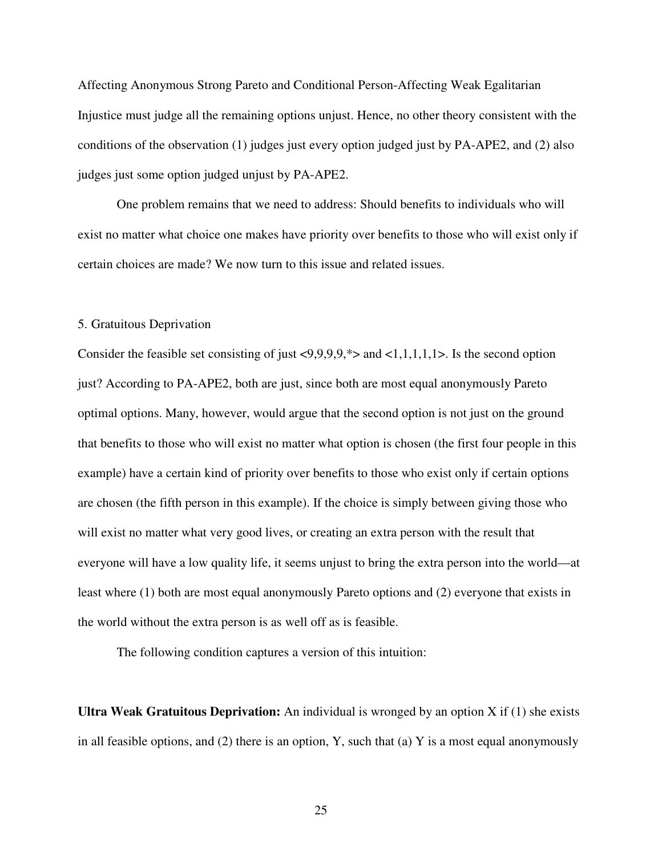Affecting Anonymous Strong Pareto and Conditional Person-Affecting Weak Egalitarian Injustice must judge all the remaining options unjust. Hence, no other theory consistent with the conditions of the observation (1) judges just every option judged just by PA-APE2, and (2) also judges just some option judged unjust by PA-APE2.

One problem remains that we need to address: Should benefits to individuals who will exist no matter what choice one makes have priority over benefits to those who will exist only if certain choices are made? We now turn to this issue and related issues.

## 5. Gratuitous Deprivation

Consider the feasible set consisting of just  $\langle 9,9,9,9,\rangle^*$  and  $\langle 1,1,1,1,1\rangle$ . Is the second option just? According to PA-APE2, both are just, since both are most equal anonymously Pareto optimal options. Many, however, would argue that the second option is not just on the ground that benefits to those who will exist no matter what option is chosen (the first four people in this example) have a certain kind of priority over benefits to those who exist only if certain options are chosen (the fifth person in this example). If the choice is simply between giving those who will exist no matter what very good lives, or creating an extra person with the result that everyone will have a low quality life, it seems unjust to bring the extra person into the world—at least where (1) both are most equal anonymously Pareto options and (2) everyone that exists in the world without the extra person is as well off as is feasible.

The following condition captures a version of this intuition:

**Ultra Weak Gratuitous Deprivation:** An individual is wronged by an option X if (1) she exists in all feasible options, and  $(2)$  there is an option, Y, such that  $(a)$  Y is a most equal anonymously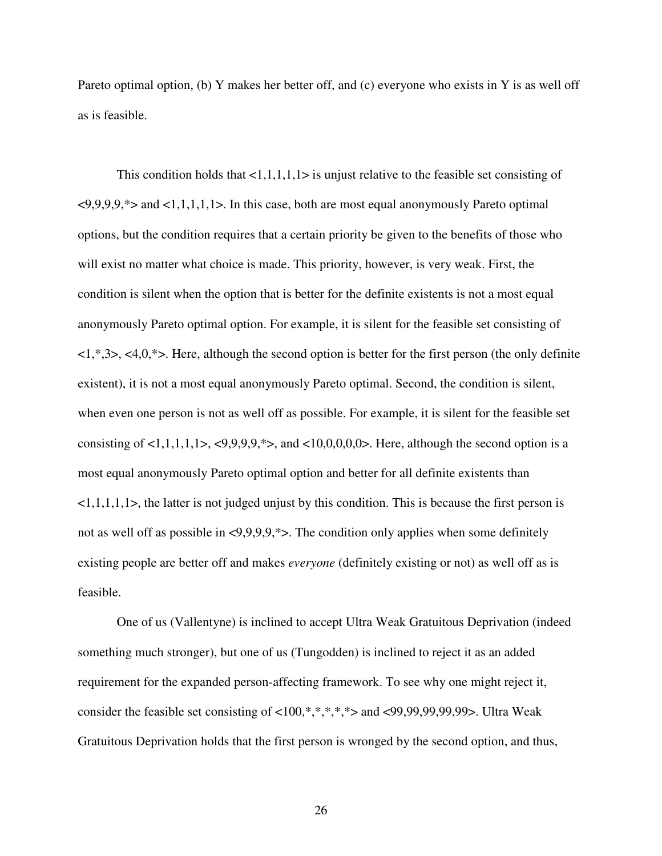Pareto optimal option, (b) Y makes her better off, and (c) everyone who exists in Y is as well off as is feasible.

This condition holds that  $\langle 1,1,1,1,1\rangle$  is unjust relative to the feasible set consisting of  $\langle 9,9,9,9,4 \rangle$  and  $\langle 1,1,1,1,1 \rangle$ . In this case, both are most equal anonymously Pareto optimal options, but the condition requires that a certain priority be given to the benefits of those who will exist no matter what choice is made. This priority, however, is very weak. First, the condition is silent when the option that is better for the definite existents is not a most equal anonymously Pareto optimal option. For example, it is silent for the feasible set consisting of  $\langle 1, 3 \rangle$ ,  $\langle 4, 0, 1 \rangle$ . Here, although the second option is better for the first person (the only definite existent), it is not a most equal anonymously Pareto optimal. Second, the condition is silent, when even one person is not as well off as possible. For example, it is silent for the feasible set consisting of  $\langle 1,1,1,1,1 \rangle$ ,  $\langle 9,9,9,9,$ \* $\rangle$ , and  $\langle 10,0,0,0,0 \rangle$ . Here, although the second option is a most equal anonymously Pareto optimal option and better for all definite existents than  $\langle 1,1,1,1,1\rangle$ , the latter is not judged unjust by this condition. This is because the first person is not as well off as possible in <9,9,9,9,\*>. The condition only applies when some definitely existing people are better off and makes *everyone* (definitely existing or not) as well off as is feasible.

 One of us (Vallentyne) is inclined to accept Ultra Weak Gratuitous Deprivation (indeed something much stronger), but one of us (Tungodden) is inclined to reject it as an added requirement for the expanded person-affecting framework. To see why one might reject it, consider the feasible set consisting of  $<100, *, *, *, *, *$  and  $<99,99,99,99,99$ >. Ultra Weak Gratuitous Deprivation holds that the first person is wronged by the second option, and thus,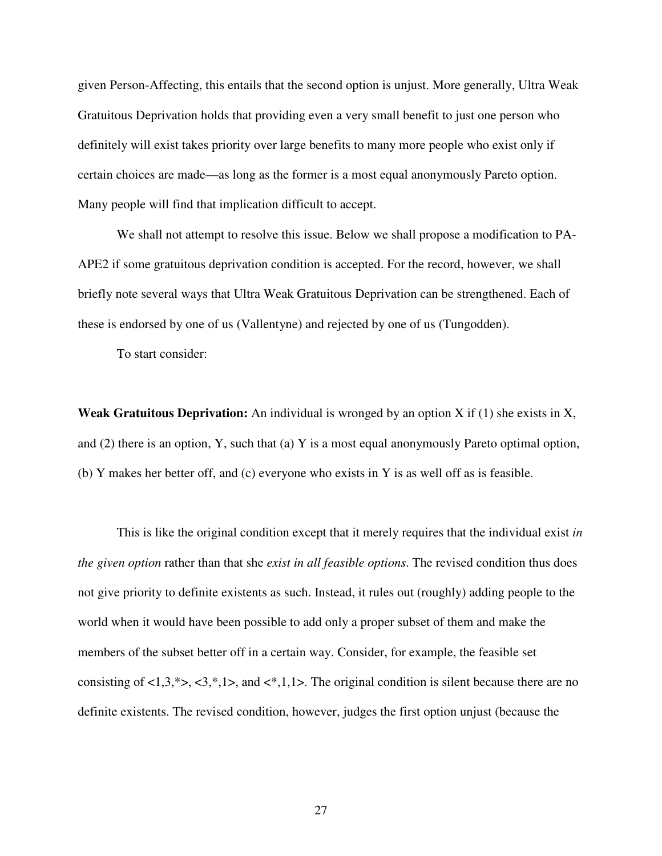given Person-Affecting, this entails that the second option is unjust. More generally, Ultra Weak Gratuitous Deprivation holds that providing even a very small benefit to just one person who definitely will exist takes priority over large benefits to many more people who exist only if certain choices are made—as long as the former is a most equal anonymously Pareto option. Many people will find that implication difficult to accept.

 We shall not attempt to resolve this issue. Below we shall propose a modification to PA-APE2 if some gratuitous deprivation condition is accepted. For the record, however, we shall briefly note several ways that Ultra Weak Gratuitous Deprivation can be strengthened. Each of these is endorsed by one of us (Vallentyne) and rejected by one of us (Tungodden).

To start consider:

**Weak Gratuitous Deprivation:** An individual is wronged by an option X if (1) she exists in X, and (2) there is an option, Y, such that (a) Y is a most equal anonymously Pareto optimal option, (b) Y makes her better off, and (c) everyone who exists in Y is as well off as is feasible.

 This is like the original condition except that it merely requires that the individual exist *in the given option* rather than that she *exist in all feasible options*. The revised condition thus does not give priority to definite existents as such. Instead, it rules out (roughly) adding people to the world when it would have been possible to add only a proper subset of them and make the members of the subset better off in a certain way. Consider, for example, the feasible set consisting of  $\langle 1,3,*\rangle$ ,  $\langle 3,*,1\rangle$ , and  $\langle *,1,1\rangle$ . The original condition is silent because there are no definite existents. The revised condition, however, judges the first option unjust (because the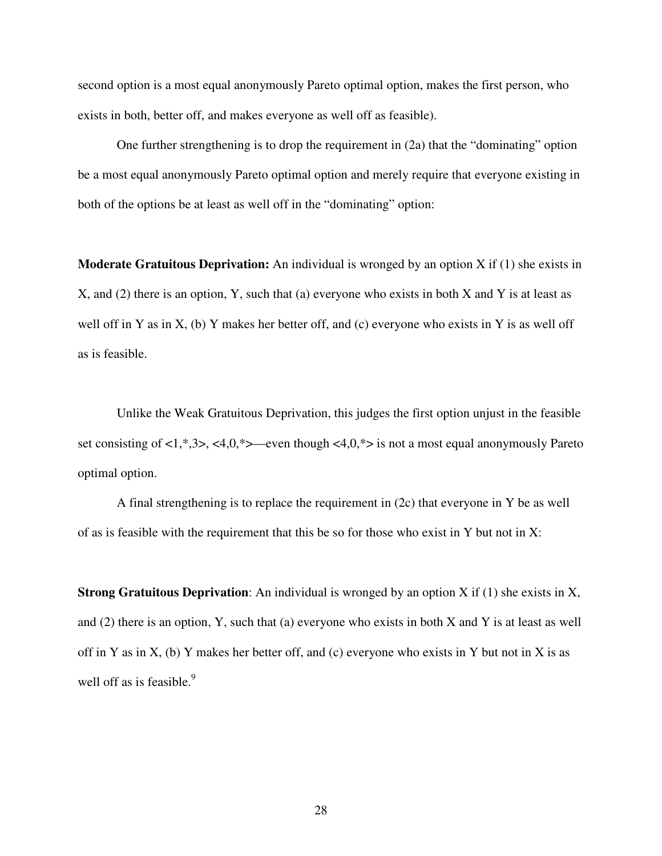second option is a most equal anonymously Pareto optimal option, makes the first person, who exists in both, better off, and makes everyone as well off as feasible).

One further strengthening is to drop the requirement in  $(2a)$  that the "dominating" option be a most equal anonymously Pareto optimal option and merely require that everyone existing in both of the options be at least as well off in the "dominating" option:

**Moderate Gratuitous Deprivation:** An individual is wronged by an option X if (1) she exists in X, and (2) there is an option, Y, such that (a) everyone who exists in both X and Y is at least as well off in Y as in X, (b) Y makes her better off, and (c) everyone who exists in Y is as well off as is feasible.

 Unlike the Weak Gratuitous Deprivation, this judges the first option unjust in the feasible set consisting of  $\langle 1, 3 \rangle$ ,  $\langle 4, 0, 3 \rangle$  even though  $\langle 4, 0, 3 \rangle$  is not a most equal anonymously Pareto optimal option.

 A final strengthening is to replace the requirement in (2c) that everyone in Y be as well of as is feasible with the requirement that this be so for those who exist in Y but not in X:

**Strong Gratuitous Deprivation**: An individual is wronged by an option X if (1) she exists in X, and (2) there is an option, Y, such that (a) everyone who exists in both X and Y is at least as well off in Y as in X, (b) Y makes her better off, and (c) everyone who exists in Y but not in X is as well off as is feasible. $9$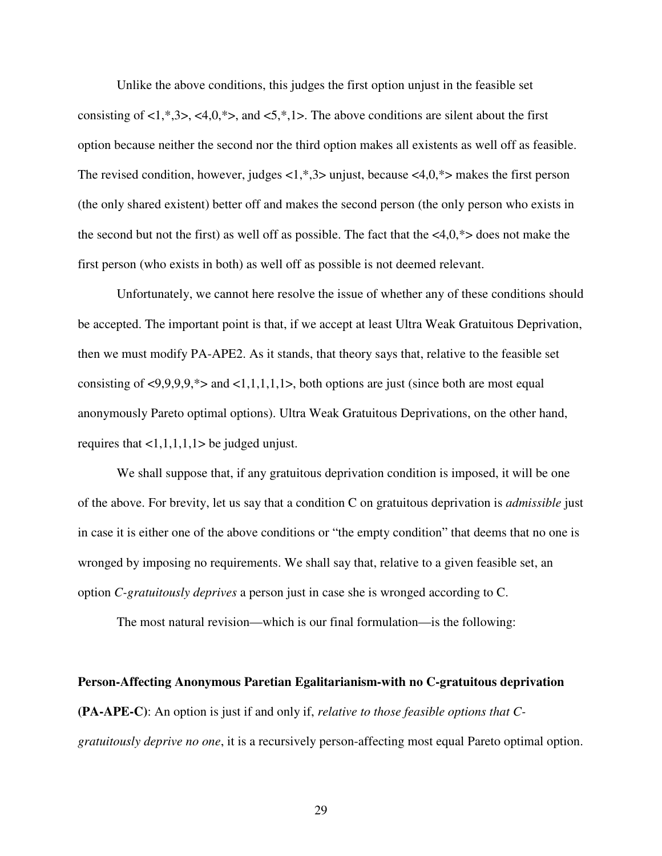Unlike the above conditions, this judges the first option unjust in the feasible set consisting of  $\langle 1, 3 \rangle$ ,  $\langle 4, 0, 2 \rangle$ , and  $\langle 5, 3 \rangle$ . The above conditions are silent about the first option because neither the second nor the third option makes all existents as well off as feasible. The revised condition, however, judges  $\langle 1, 3 \rangle$  unjust, because  $\langle 4, 0, \rangle$  makes the first person (the only shared existent) better off and makes the second person (the only person who exists in the second but not the first) as well off as possible. The fact that the  $\langle 4,0,* \rangle$  does not make the first person (who exists in both) as well off as possible is not deemed relevant.

Unfortunately, we cannot here resolve the issue of whether any of these conditions should be accepted. The important point is that, if we accept at least Ultra Weak Gratuitous Deprivation, then we must modify PA-APE2. As it stands, that theory says that, relative to the feasible set consisting of  $\langle 9,9,9,9,* \rangle$  and  $\langle 1,1,1,1,1 \rangle$ , both options are just (since both are most equal anonymously Pareto optimal options). Ultra Weak Gratuitous Deprivations, on the other hand, requires that  $\langle 1,1,1,1,1 \rangle$  be judged unjust.

We shall suppose that, if any gratuitous deprivation condition is imposed, it will be one of the above. For brevity, let us say that a condition C on gratuitous deprivation is *admissible* just in case it is either one of the above conditions or "the empty condition" that deems that no one is wronged by imposing no requirements. We shall say that, relative to a given feasible set, an option *C-gratuitously deprives* a person just in case she is wronged according to C.

The most natural revision—which is our final formulation—is the following:

# **Person-Affecting Anonymous Paretian Egalitarianism-with no C-gratuitous deprivation (PA-APE-C)**: An option is just if and only if, *relative to those feasible options that Cgratuitously deprive no one*, it is a recursively person-affecting most equal Pareto optimal option.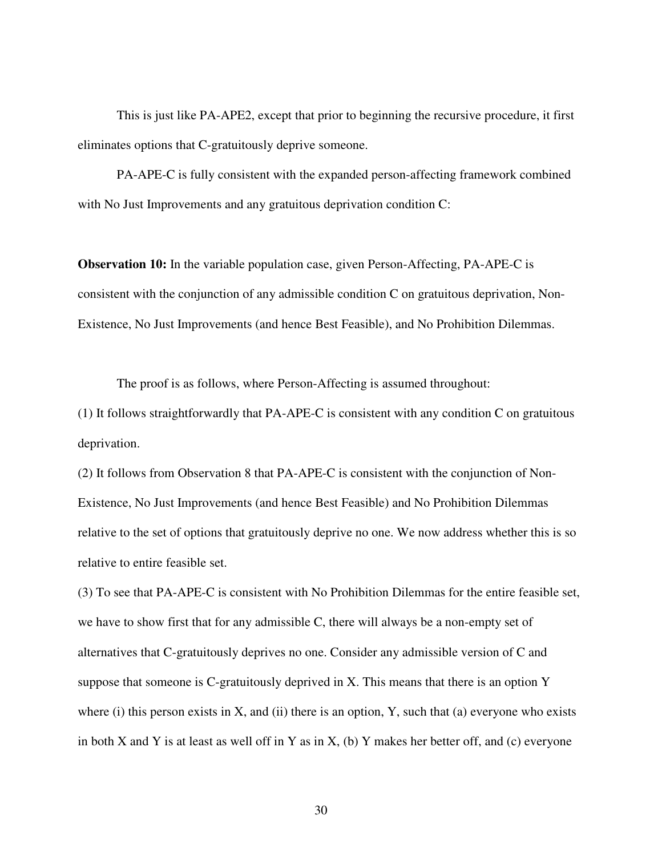This is just like PA-APE2, except that prior to beginning the recursive procedure, it first eliminates options that C-gratuitously deprive someone.

 PA-APE-C is fully consistent with the expanded person-affecting framework combined with No Just Improvements and any gratuitous deprivation condition C:

**Observation 10:** In the variable population case, given Person-Affecting, PA-APE-C is consistent with the conjunction of any admissible condition C on gratuitous deprivation, Non-Existence, No Just Improvements (and hence Best Feasible), and No Prohibition Dilemmas.

The proof is as follows, where Person-Affecting is assumed throughout:

(1) It follows straightforwardly that PA-APE-C is consistent with any condition C on gratuitous deprivation.

(2) It follows from Observation 8 that PA-APE-C is consistent with the conjunction of Non-Existence, No Just Improvements (and hence Best Feasible) and No Prohibition Dilemmas relative to the set of options that gratuitously deprive no one. We now address whether this is so relative to entire feasible set.

(3) To see that PA-APE-C is consistent with No Prohibition Dilemmas for the entire feasible set, we have to show first that for any admissible C, there will always be a non-empty set of alternatives that C-gratuitously deprives no one. Consider any admissible version of C and suppose that someone is C-gratuitously deprived in X. This means that there is an option Y where (i) this person exists in X, and (ii) there is an option, Y, such that (a) everyone who exists in both X and Y is at least as well off in Y as in X, (b) Y makes her better off, and (c) everyone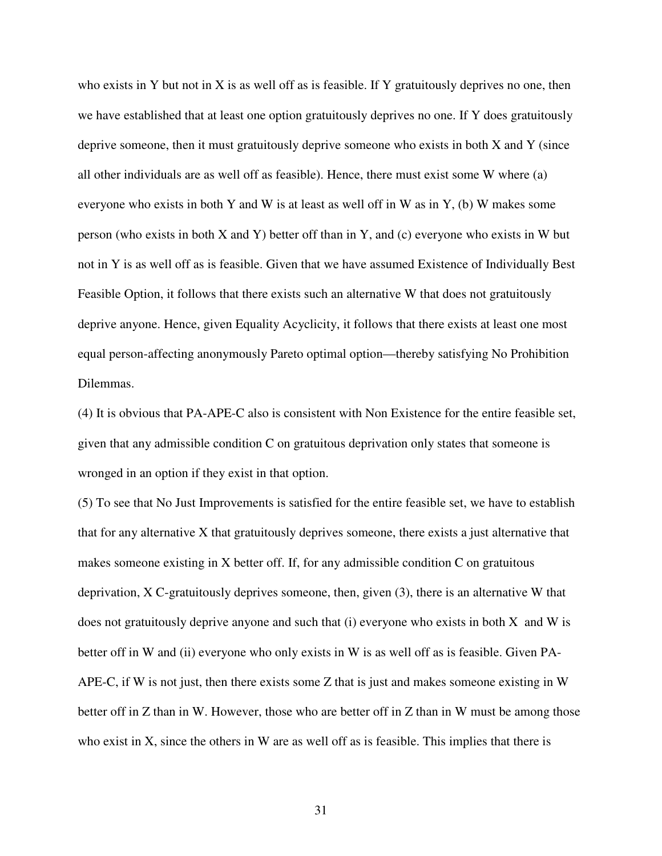who exists in Y but not in X is as well off as is feasible. If Y gratuitously deprives no one, then we have established that at least one option gratuitously deprives no one. If Y does gratuitously deprive someone, then it must gratuitously deprive someone who exists in both X and Y (since all other individuals are as well off as feasible). Hence, there must exist some W where (a) everyone who exists in both Y and W is at least as well off in W as in Y, (b) W makes some person (who exists in both X and Y) better off than in Y, and (c) everyone who exists in W but not in Y is as well off as is feasible. Given that we have assumed Existence of Individually Best Feasible Option, it follows that there exists such an alternative W that does not gratuitously deprive anyone. Hence, given Equality Acyclicity, it follows that there exists at least one most equal person-affecting anonymously Pareto optimal option—thereby satisfying No Prohibition Dilemmas.

(4) It is obvious that PA-APE-C also is consistent with Non Existence for the entire feasible set, given that any admissible condition C on gratuitous deprivation only states that someone is wronged in an option if they exist in that option.

(5) To see that No Just Improvements is satisfied for the entire feasible set, we have to establish that for any alternative X that gratuitously deprives someone, there exists a just alternative that makes someone existing in X better off. If, for any admissible condition C on gratuitous deprivation, X C-gratuitously deprives someone, then, given (3), there is an alternative W that does not gratuitously deprive anyone and such that (i) everyone who exists in both X and W is better off in W and (ii) everyone who only exists in W is as well off as is feasible. Given PA-APE-C, if W is not just, then there exists some Z that is just and makes someone existing in W better off in Z than in W. However, those who are better off in Z than in W must be among those who exist in X, since the others in W are as well off as is feasible. This implies that there is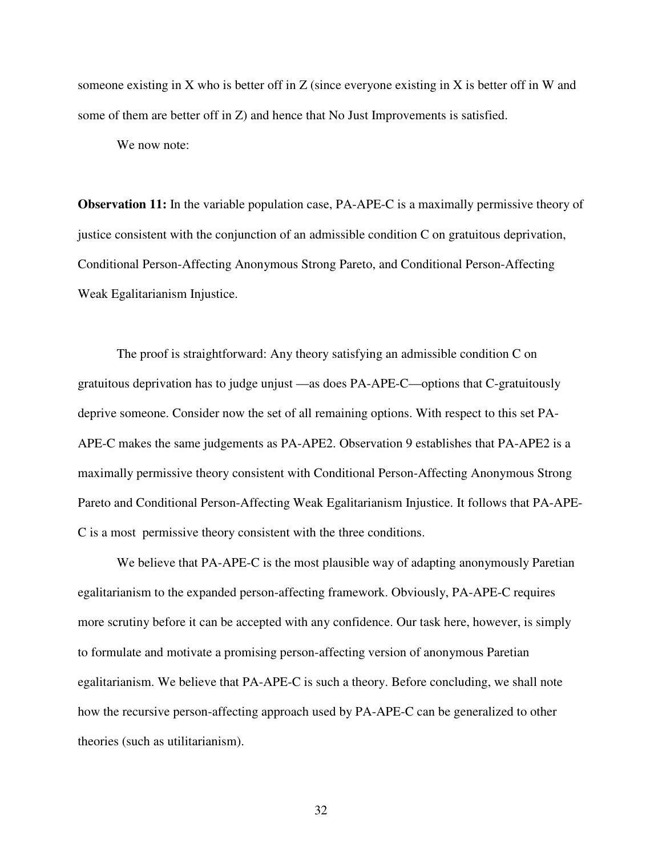someone existing in X who is better off in Z (since everyone existing in X is better off in W and some of them are better off in Z) and hence that No Just Improvements is satisfied.

We now note:

**Observation 11:** In the variable population case, PA-APE-C is a maximally permissive theory of justice consistent with the conjunction of an admissible condition C on gratuitous deprivation, Conditional Person-Affecting Anonymous Strong Pareto, and Conditional Person-Affecting Weak Egalitarianism Injustice.

The proof is straightforward: Any theory satisfying an admissible condition C on gratuitous deprivation has to judge unjust —as does PA-APE-C—options that C-gratuitously deprive someone. Consider now the set of all remaining options. With respect to this set PA-APE-C makes the same judgements as PA-APE2. Observation 9 establishes that PA-APE2 is a maximally permissive theory consistent with Conditional Person-Affecting Anonymous Strong Pareto and Conditional Person-Affecting Weak Egalitarianism Injustice. It follows that PA-APE-C is a most permissive theory consistent with the three conditions.

We believe that PA-APE-C is the most plausible way of adapting anonymously Paretian egalitarianism to the expanded person-affecting framework. Obviously, PA-APE-C requires more scrutiny before it can be accepted with any confidence. Our task here, however, is simply to formulate and motivate a promising person-affecting version of anonymous Paretian egalitarianism. We believe that PA-APE-C is such a theory. Before concluding, we shall note how the recursive person-affecting approach used by PA-APE-C can be generalized to other theories (such as utilitarianism).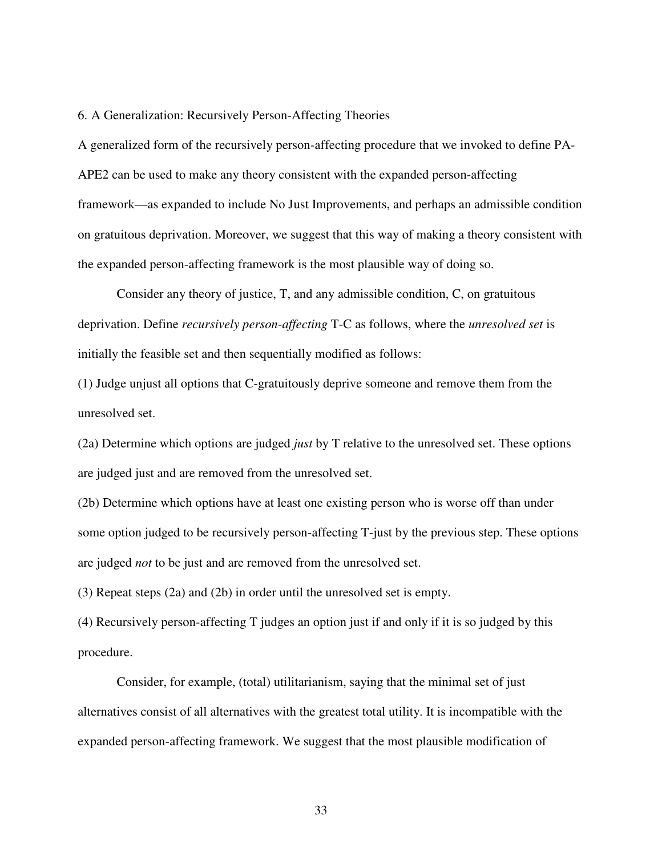6. A Generalization: Recursively Person-Affecting Theories

A generalized form of the recursively person-affecting procedure that we invoked to define PA-APE2 can be used to make any theory consistent with the expanded person-affecting framework—as expanded to include No Just Improvements, and perhaps an admissible condition on gratuitous deprivation. Moreover, we suggest that this way of making a theory consistent with the expanded person-affecting framework is the most plausible way of doing so.

Consider any theory of justice, T, and any admissible condition, C, on gratuitous deprivation. Define *recursively person-affecting* T-C as follows, where the *unresolved set* is initially the feasible set and then sequentially modified as follows:

(1) Judge unjust all options that C-gratuitously deprive someone and remove them from the unresolved set.

(2a) Determine which options are judged *just* by T relative to the unresolved set. These options are judged just and are removed from the unresolved set.

(2b) Determine which options have at least one existing person who is worse off than under some option judged to be recursively person-affecting T-just by the previous step. These options are judged *not* to be just and are removed from the unresolved set.

(3) Repeat steps (2a) and (2b) in order until the unresolved set is empty.

(4) Recursively person-affecting T judges an option just if and only if it is so judged by this procedure.

Consider, for example, (total) utilitarianism, saying that the minimal set of just alternatives consist of all alternatives with the greatest total utility. It is incompatible with the expanded person-affecting framework. We suggest that the most plausible modification of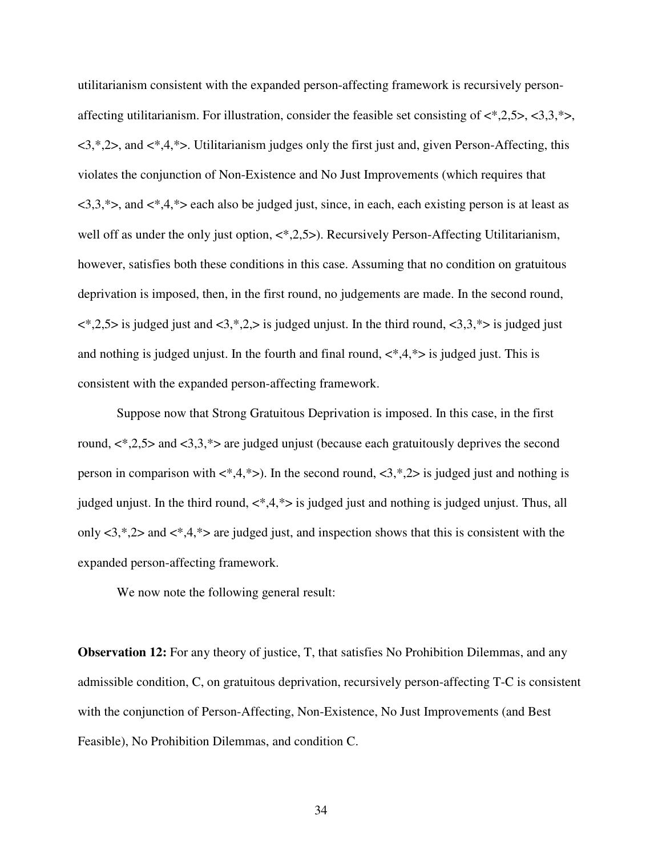utilitarianism consistent with the expanded person-affecting framework is recursively personaffecting utilitarianism. For illustration, consider the feasible set consisting of <\*,2,5>, <3,3,\*>,  $\langle 3, 2 \rangle$ , and  $\langle 4, 4 \rangle$ . Utilitarianism judges only the first just and, given Person-Affecting, this violates the conjunction of Non-Existence and No Just Improvements (which requires that  $\langle 3,3,* \rangle$ , and  $\langle 4,4,* \rangle$  each also be judged just, since, in each, each existing person is at least as well off as under the only just option,  $\langle *,2,5 \rangle$ . Recursively Person-Affecting Utilitarianism, however, satisfies both these conditions in this case. Assuming that no condition on gratuitous deprivation is imposed, then, in the first round, no judgements are made. In the second round,  $\langle 2,5 \rangle$  is judged just and  $\langle 3,2,2 \rangle$  is judged unjust. In the third round,  $\langle 3,3,2 \rangle$  is judged just and nothing is judged unjust. In the fourth and final round,  $\langle *, 4, * \rangle$  is judged just. This is consistent with the expanded person-affecting framework.

Suppose now that Strong Gratuitous Deprivation is imposed. In this case, in the first round, <\*,2,5> and <3,3,\*> are judged unjust (because each gratuitously deprives the second person in comparison with  $\langle 4,4,4 \rangle$ . In the second round,  $\langle 3,4,4 \rangle$  is judged just and nothing is judged unjust. In the third round, <\*,4,\*> is judged just and nothing is judged unjust. Thus, all only  $\langle 3, * , 2 \rangle$  and  $\langle 4, * \rangle$  are judged just, and inspection shows that this is consistent with the expanded person-affecting framework.

We now note the following general result:

**Observation 12:** For any theory of justice, T, that satisfies No Prohibition Dilemmas, and any admissible condition, C, on gratuitous deprivation, recursively person-affecting T-C is consistent with the conjunction of Person-Affecting, Non-Existence, No Just Improvements (and Best Feasible), No Prohibition Dilemmas, and condition C.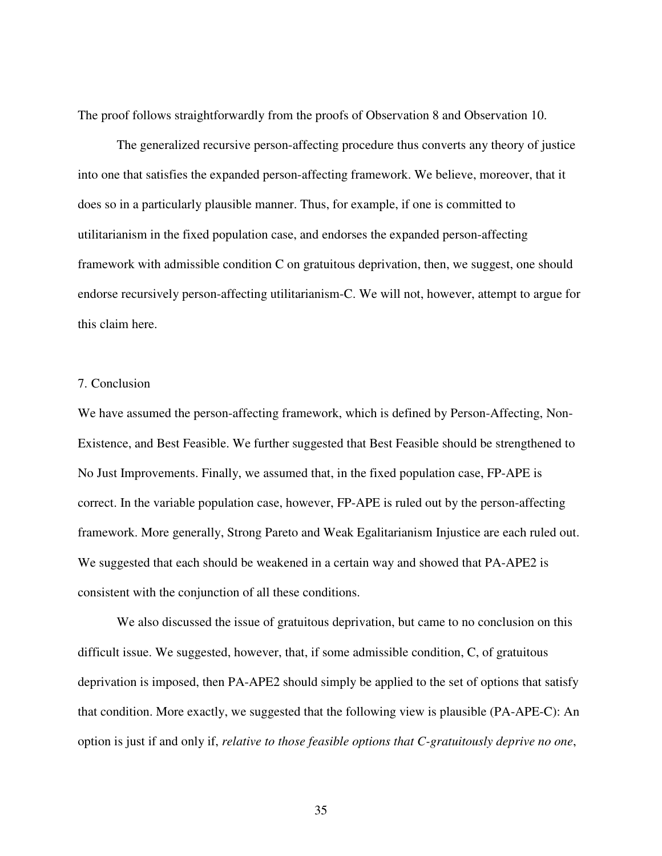The proof follows straightforwardly from the proofs of Observation 8 and Observation 10.

 The generalized recursive person-affecting procedure thus converts any theory of justice into one that satisfies the expanded person-affecting framework. We believe, moreover, that it does so in a particularly plausible manner. Thus, for example, if one is committed to utilitarianism in the fixed population case, and endorses the expanded person-affecting framework with admissible condition C on gratuitous deprivation, then, we suggest, one should endorse recursively person-affecting utilitarianism-C. We will not, however, attempt to argue for this claim here.

## 7. Conclusion

We have assumed the person-affecting framework, which is defined by Person-Affecting, Non-Existence, and Best Feasible. We further suggested that Best Feasible should be strengthened to No Just Improvements. Finally, we assumed that, in the fixed population case, FP-APE is correct. In the variable population case, however, FP-APE is ruled out by the person-affecting framework. More generally, Strong Pareto and Weak Egalitarianism Injustice are each ruled out. We suggested that each should be weakened in a certain way and showed that PA-APE2 is consistent with the conjunction of all these conditions.

We also discussed the issue of gratuitous deprivation, but came to no conclusion on this difficult issue. We suggested, however, that, if some admissible condition, C, of gratuitous deprivation is imposed, then PA-APE2 should simply be applied to the set of options that satisfy that condition. More exactly, we suggested that the following view is plausible (PA-APE-C): An option is just if and only if, *relative to those feasible options that C-gratuitously deprive no one*,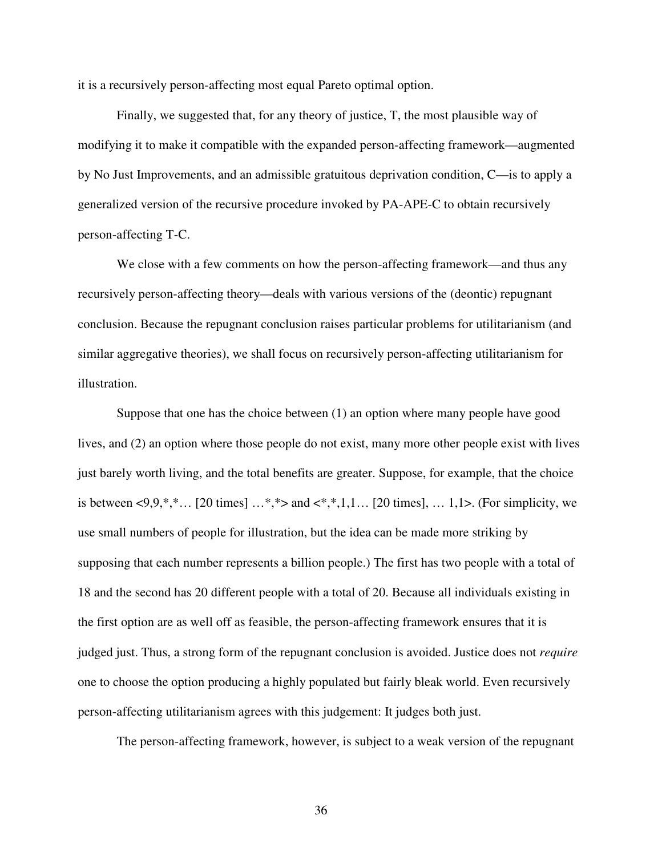it is a recursively person-affecting most equal Pareto optimal option.

Finally, we suggested that, for any theory of justice, T, the most plausible way of modifying it to make it compatible with the expanded person-affecting framework—augmented by No Just Improvements, and an admissible gratuitous deprivation condition, C—is to apply a generalized version of the recursive procedure invoked by PA-APE-C to obtain recursively person-affecting T-C.

We close with a few comments on how the person-affecting framework—and thus any recursively person-affecting theory—deals with various versions of the (deontic) repugnant conclusion. Because the repugnant conclusion raises particular problems for utilitarianism (and similar aggregative theories), we shall focus on recursively person-affecting utilitarianism for illustration.

Suppose that one has the choice between (1) an option where many people have good lives, and (2) an option where those people do not exist, many more other people exist with lives just barely worth living, and the total benefits are greater. Suppose, for example, that the choice is between <9,9,\*,\*... [20 times] ...\*,\*> and <\*,\*,1,1... [20 times], ... 1,1>. (For simplicity, we use small numbers of people for illustration, but the idea can be made more striking by supposing that each number represents a billion people.) The first has two people with a total of 18 and the second has 20 different people with a total of 20. Because all individuals existing in the first option are as well off as feasible, the person-affecting framework ensures that it is judged just. Thus, a strong form of the repugnant conclusion is avoided. Justice does not *require* one to choose the option producing a highly populated but fairly bleak world. Even recursively person-affecting utilitarianism agrees with this judgement: It judges both just.

The person-affecting framework, however, is subject to a weak version of the repugnant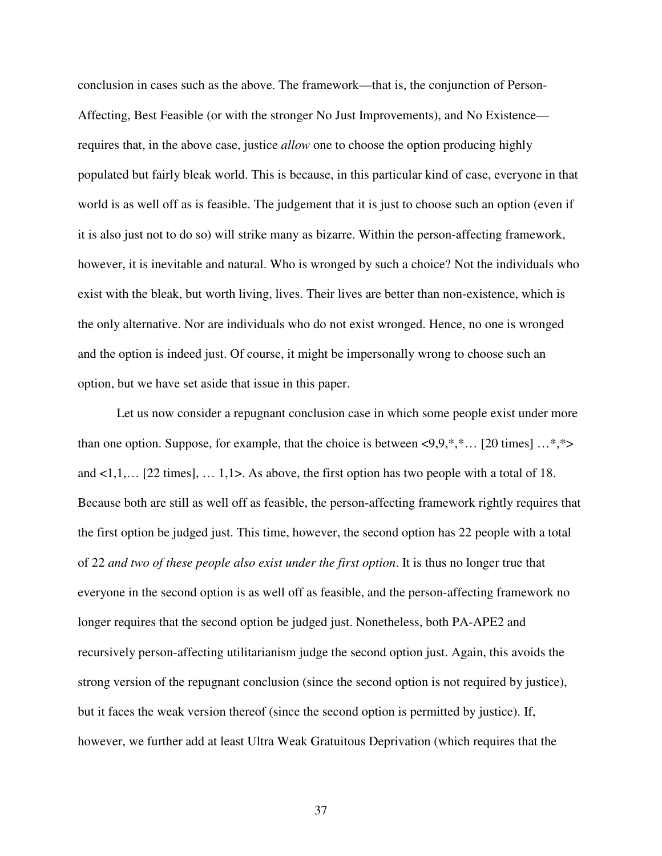conclusion in cases such as the above. The framework—that is, the conjunction of Person-Affecting, Best Feasible (or with the stronger No Just Improvements), and No Existence requires that, in the above case, justice *allow* one to choose the option producing highly populated but fairly bleak world. This is because, in this particular kind of case, everyone in that world is as well off as is feasible. The judgement that it is just to choose such an option (even if it is also just not to do so) will strike many as bizarre. Within the person-affecting framework, however, it is inevitable and natural. Who is wronged by such a choice? Not the individuals who exist with the bleak, but worth living, lives. Their lives are better than non-existence, which is the only alternative. Nor are individuals who do not exist wronged. Hence, no one is wronged and the option is indeed just. Of course, it might be impersonally wrong to choose such an option, but we have set aside that issue in this paper.

 Let us now consider a repugnant conclusion case in which some people exist under more than one option. Suppose, for example, that the choice is between  $\langle 9,9,*,*, \ldots [20 \text{ times}] \ldots *,*\rangle$ and  $\langle 1,1,...$  [22 times],  $\dots$  1,1 $\rangle$ . As above, the first option has two people with a total of 18. Because both are still as well off as feasible, the person-affecting framework rightly requires that the first option be judged just. This time, however, the second option has 22 people with a total of 22 *and two of these people also exist under the first option*. It is thus no longer true that everyone in the second option is as well off as feasible, and the person-affecting framework no longer requires that the second option be judged just. Nonetheless, both PA-APE2 and recursively person-affecting utilitarianism judge the second option just. Again, this avoids the strong version of the repugnant conclusion (since the second option is not required by justice), but it faces the weak version thereof (since the second option is permitted by justice). If, however, we further add at least Ultra Weak Gratuitous Deprivation (which requires that the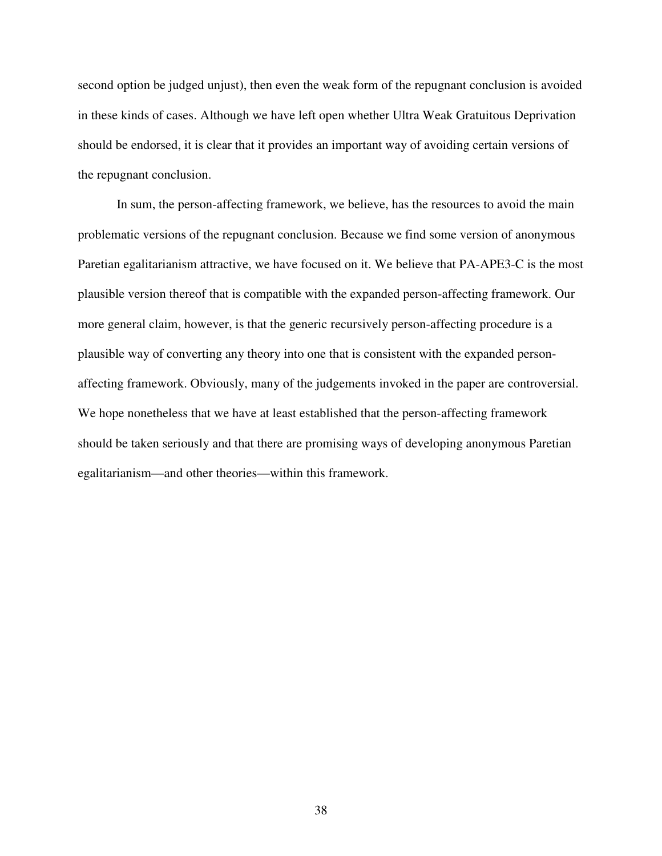second option be judged unjust), then even the weak form of the repugnant conclusion is avoided in these kinds of cases. Although we have left open whether Ultra Weak Gratuitous Deprivation should be endorsed, it is clear that it provides an important way of avoiding certain versions of the repugnant conclusion.

 In sum, the person-affecting framework, we believe, has the resources to avoid the main problematic versions of the repugnant conclusion. Because we find some version of anonymous Paretian egalitarianism attractive, we have focused on it. We believe that PA-APE3-C is the most plausible version thereof that is compatible with the expanded person-affecting framework. Our more general claim, however, is that the generic recursively person-affecting procedure is a plausible way of converting any theory into one that is consistent with the expanded personaffecting framework. Obviously, many of the judgements invoked in the paper are controversial. We hope nonetheless that we have at least established that the person-affecting framework should be taken seriously and that there are promising ways of developing anonymous Paretian egalitarianism—and other theories—within this framework.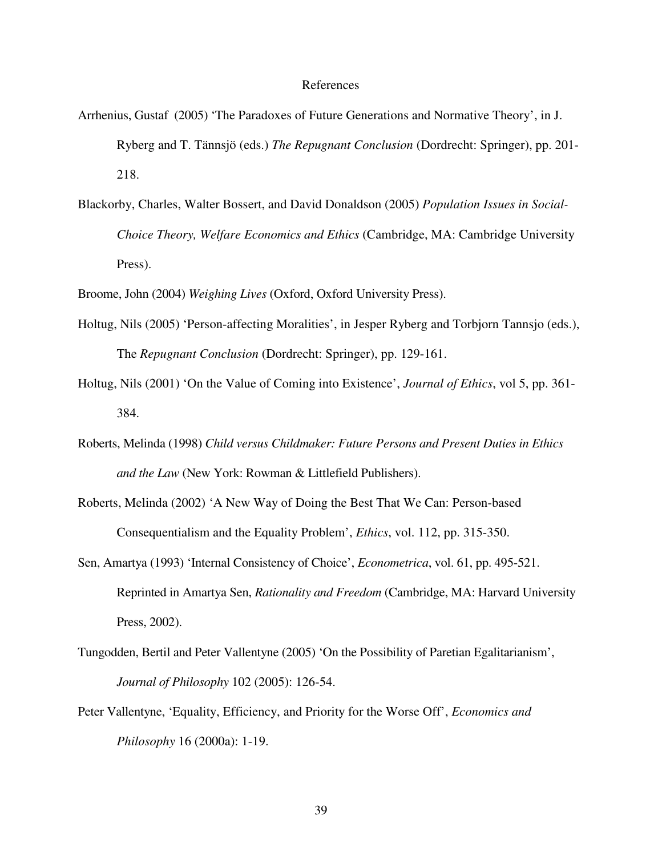#### References

- Arrhenius, Gustaf (2005) 'The Paradoxes of Future Generations and Normative Theory', in J. Ryberg and T. Tännsjö (eds.) *The Repugnant Conclusion* (Dordrecht: Springer), pp. 201- 218.
- Blackorby, Charles, Walter Bossert, and David Donaldson (2005) *Population Issues in Social-Choice Theory, Welfare Economics and Ethics* (Cambridge, MA: Cambridge University Press).
- Broome, John (2004) *Weighing Lives* (Oxford, Oxford University Press).
- Holtug, Nils (2005) 'Person-affecting Moralities', in Jesper Ryberg and Torbjorn Tannsjo (eds.), The *Repugnant Conclusion* (Dordrecht: Springer), pp. 129-161.
- Holtug, Nils (2001) 'On the Value of Coming into Existence', *Journal of Ethics*, vol 5, pp. 361- 384.
- Roberts, Melinda (1998) *Child versus Childmaker: Future Persons and Present Duties in Ethics and the Law* (New York: Rowman & Littlefield Publishers).
- Roberts, Melinda (2002) 'A New Way of Doing the Best That We Can: Person-based Consequentialism and the Equality Problem', *Ethics*, vol. 112, pp. 315-350.
- Sen, Amartya (1993) 'Internal Consistency of Choice', *Econometrica*, vol. 61, pp. 495-521. Reprinted in Amartya Sen, *Rationality and Freedom* (Cambridge, MA: Harvard University Press, 2002).
- Tungodden, Bertil and Peter Vallentyne (2005) 'On the Possibility of Paretian Egalitarianism', *Journal of Philosophy* 102 (2005): 126-54.
- Peter Vallentyne, 'Equality, Efficiency, and Priority for the Worse Off', *Economics and Philosophy* 16 (2000a): 1-19.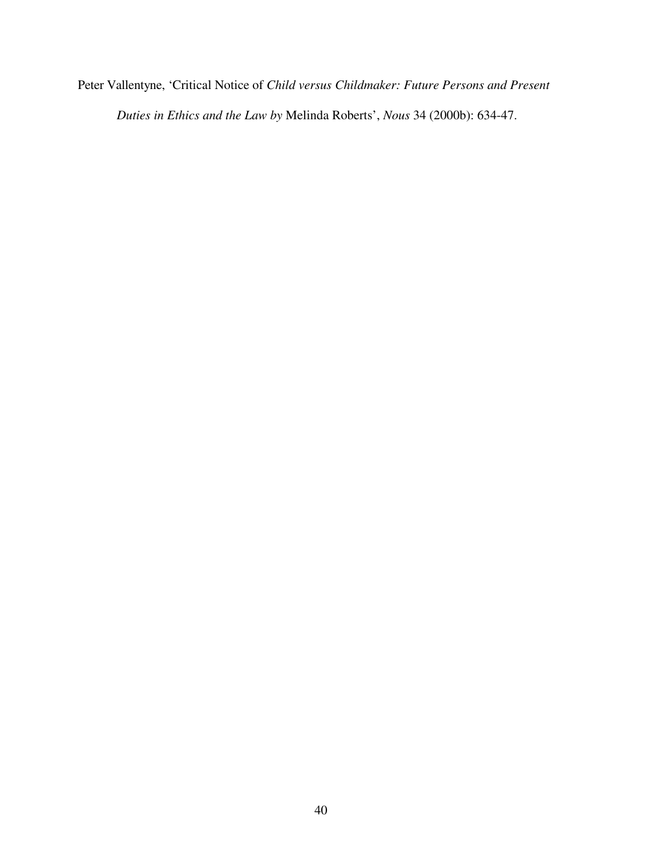Peter Vallentyne, 'Critical Notice of *Child versus Childmaker: Future Persons and Present Duties in Ethics and the Law by* Melinda Roberts', *Nous* 34 (2000b): 634-47.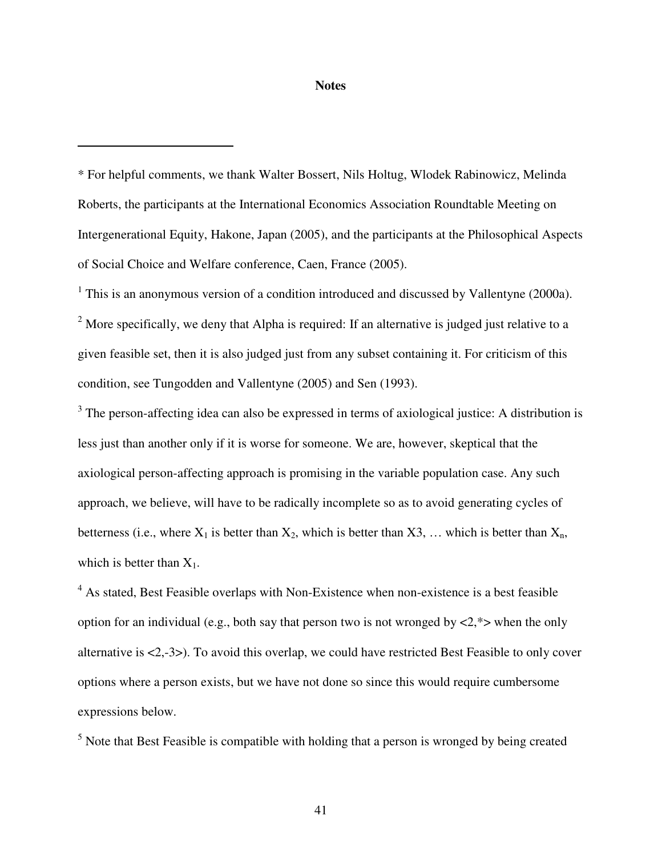#### **Notes**

 $\overline{a}$ 

\* For helpful comments, we thank Walter Bossert, Nils Holtug, Wlodek Rabinowicz, Melinda Roberts, the participants at the International Economics Association Roundtable Meeting on Intergenerational Equity, Hakone, Japan (2005), and the participants at the Philosophical Aspects of Social Choice and Welfare conference, Caen, France (2005).

 $<sup>1</sup>$  This is an anonymous version of a condition introduced and discussed by Vallentyne (2000a).</sup>  $2$  More specifically, we deny that Alpha is required: If an alternative is judged just relative to a given feasible set, then it is also judged just from any subset containing it. For criticism of this condition, see Tungodden and Vallentyne (2005) and Sen (1993).

 $3$  The person-affecting idea can also be expressed in terms of axiological justice: A distribution is less just than another only if it is worse for someone. We are, however, skeptical that the axiological person-affecting approach is promising in the variable population case. Any such approach, we believe, will have to be radically incomplete so as to avoid generating cycles of betterness (i.e., where  $X_1$  is better than  $X_2$ , which is better than  $X_3$ , ... which is better than  $X_n$ , which is better than  $X_1$ .

<sup>4</sup> As stated, Best Feasible overlaps with Non-Existence when non-existence is a best feasible option for an individual (e.g., both say that person two is not wronged by  $\langle 2, * \rangle$  when the only alternative is <2,-3>). To avoid this overlap, we could have restricted Best Feasible to only cover options where a person exists, but we have not done so since this would require cumbersome expressions below.

 $<sup>5</sup>$  Note that Best Feasible is compatible with holding that a person is wronged by being created</sup>